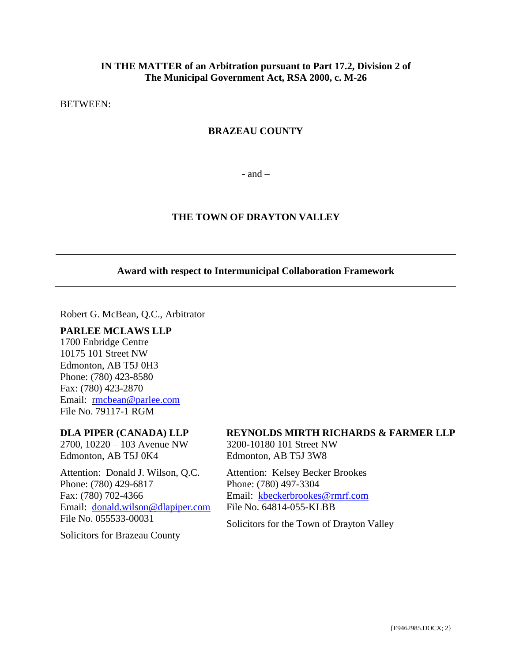## **IN THE MATTER of an Arbitration pursuant to Part 17.2, Division 2 of The Municipal Government Act, RSA 2000, c. M-26**

BETWEEN:

## **BRAZEAU COUNTY**

 $-$  and  $-$ 

## **THE TOWN OF DRAYTON VALLEY**

## **Award with respect to Intermunicipal Collaboration Framework**

Robert G. McBean, Q.C., Arbitrator

### **PARLEE MCLAWS LLP**

1700 Enbridge Centre 10175 101 Street NW Edmonton, AB T5J 0H3 Phone: (780) 423-8580 Fax: (780) 423-2870 Email: [rmcbean@parlee.com](mailto:mcbean@parlee.com) File No. 79117-1 RGM

## **DLA PIPER (CANADA) LLP**

2700, 10220 – 103 Avenue NW Edmonton, AB T5J 0K4

Attention: Donald J. Wilson, Q.C. Phone: (780) 429-6817 Fax: (780) 702-4366 Email: [donald.wilson@dlapiper.com](mailto:donald.wilson@dlapiper.com) File No. 055533-00031

Solicitors for Brazeau County

## **REYNOLDS MIRTH RICHARDS & FARMER LLP**

3200-10180 101 Street NW Edmonton, AB T5J 3W8

Attention: Kelsey Becker Brookes Phone: (780) 497-3304 Email: [kbeckerbrookes@rmrf.com](mailto:kbeckerbrookes@rmrf.com) File No. 64814-055-KLBB

Solicitors for the Town of Drayton Valley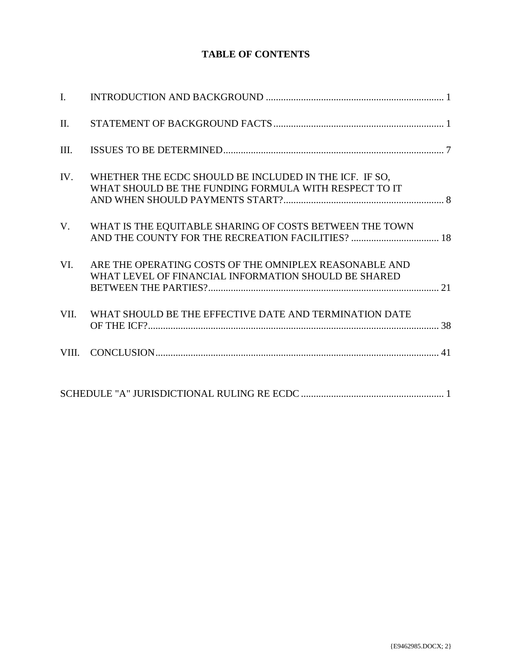## **TABLE OF CONTENTS**

| II.  |                                                                                                                 |  |
|------|-----------------------------------------------------------------------------------------------------------------|--|
| III. |                                                                                                                 |  |
| IV.  | WHETHER THE ECDC SHOULD BE INCLUDED IN THE ICF. IF SO,<br>WHAT SHOULD BE THE FUNDING FORMULA WITH RESPECT TO IT |  |
| V.   | WHAT IS THE EQUITABLE SHARING OF COSTS BETWEEN THE TOWN                                                         |  |
| VI.  | ARE THE OPERATING COSTS OF THE OMNIPLEX REASONABLE AND<br>WHAT LEVEL OF FINANCIAL INFORMATION SHOULD BE SHARED  |  |
| VII. | WHAT SHOULD BE THE EFFECTIVE DATE AND TERMINATION DATE                                                          |  |
|      |                                                                                                                 |  |
|      |                                                                                                                 |  |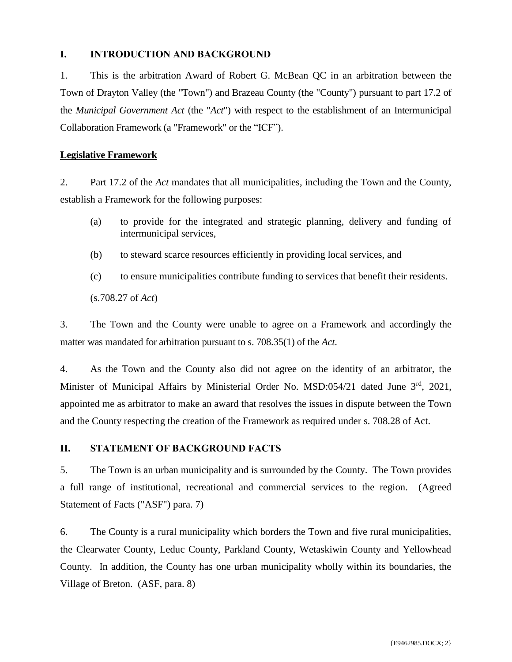## <span id="page-2-0"></span>**I. INTRODUCTION AND BACKGROUND**

1. This is the arbitration Award of Robert G. McBean QC in an arbitration between the Town of Drayton Valley (the "Town") and Brazeau County (the "County") pursuant to part 17.2 of the *Municipal Government Act* (the "*Act*") with respect to the establishment of an Intermunicipal Collaboration Framework (a "Framework" or the "ICF").

## **Legislative Framework**

2. Part 17.2 of the *Act* mandates that all municipalities, including the Town and the County, establish a Framework for the following purposes:

- (a) to provide for the integrated and strategic planning, delivery and funding of intermunicipal services,
- (b) to steward scarce resources efficiently in providing local services, and
- (c) to ensure municipalities contribute funding to services that benefit their residents.

(s.708.27 of *Act*)

3. The Town and the County were unable to agree on a Framework and accordingly the matter was mandated for arbitration pursuant to s. 708.35(1) of the *Act*.

4. As the Town and the County also did not agree on the identity of an arbitrator, the Minister of Municipal Affairs by Ministerial Order No. MSD:054/21 dated June 3<sup>rd</sup>, 2021, appointed me as arbitrator to make an award that resolves the issues in dispute between the Town and the County respecting the creation of the Framework as required under s. 708.28 of Act.

## <span id="page-2-1"></span>**II. STATEMENT OF BACKGROUND FACTS**

5. The Town is an urban municipality and is surrounded by the County. The Town provides a full range of institutional, recreational and commercial services to the region. (Agreed Statement of Facts ("ASF") para. 7)

6. The County is a rural municipality which borders the Town and five rural municipalities, the Clearwater County, Leduc County, Parkland County, Wetaskiwin County and Yellowhead County. In addition, the County has one urban municipality wholly within its boundaries, the Village of Breton. (ASF, para. 8)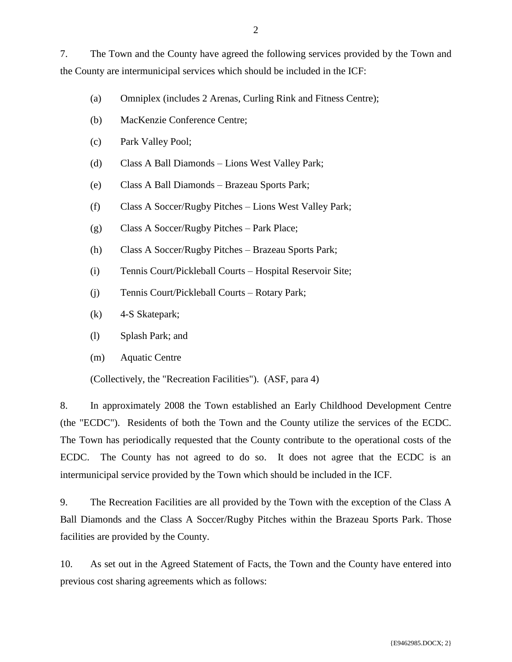7. The Town and the County have agreed the following services provided by the Town and the County are intermunicipal services which should be included in the ICF:

- (a) Omniplex (includes 2 Arenas, Curling Rink and Fitness Centre);
- (b) MacKenzie Conference Centre;
- (c) Park Valley Pool;
- (d) Class A Ball Diamonds Lions West Valley Park;
- (e) Class A Ball Diamonds Brazeau Sports Park;
- (f) Class A Soccer/Rugby Pitches Lions West Valley Park;
- (g) Class A Soccer/Rugby Pitches Park Place;
- (h) Class A Soccer/Rugby Pitches Brazeau Sports Park;
- (i) Tennis Court/Pickleball Courts Hospital Reservoir Site;
- (j) Tennis Court/Pickleball Courts Rotary Park;
- (k) 4-S Skatepark;
- (l) Splash Park; and
- (m) Aquatic Centre

(Collectively, the "Recreation Facilities"). (ASF, para 4)

8. In approximately 2008 the Town established an Early Childhood Development Centre (the "ECDC"). Residents of both the Town and the County utilize the services of the ECDC. The Town has periodically requested that the County contribute to the operational costs of the ECDC. The County has not agreed to do so. It does not agree that the ECDC is an intermunicipal service provided by the Town which should be included in the ICF.

9. The Recreation Facilities are all provided by the Town with the exception of the Class A Ball Diamonds and the Class A Soccer/Rugby Pitches within the Brazeau Sports Park. Those facilities are provided by the County.

10. As set out in the Agreed Statement of Facts, the Town and the County have entered into previous cost sharing agreements which as follows: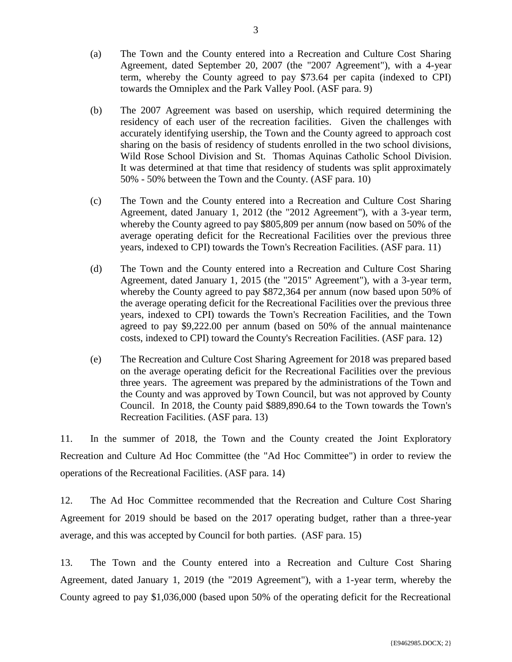- (a) The Town and the County entered into a Recreation and Culture Cost Sharing Agreement, dated September 20, 2007 (the "2007 Agreement"), with a 4-year term, whereby the County agreed to pay \$73.64 per capita (indexed to CPI) towards the Omniplex and the Park Valley Pool. (ASF para. 9)
- (b) The 2007 Agreement was based on usership, which required determining the residency of each user of the recreation facilities. Given the challenges with accurately identifying usership, the Town and the County agreed to approach cost sharing on the basis of residency of students enrolled in the two school divisions, Wild Rose School Division and St. Thomas Aquinas Catholic School Division. It was determined at that time that residency of students was split approximately 50% - 50% between the Town and the County. (ASF para. 10)
- (c) The Town and the County entered into a Recreation and Culture Cost Sharing Agreement, dated January 1, 2012 (the "2012 Agreement"), with a 3-year term, whereby the County agreed to pay \$805,809 per annum (now based on 50% of the average operating deficit for the Recreational Facilities over the previous three years, indexed to CPI) towards the Town's Recreation Facilities. (ASF para. 11)
- (d) The Town and the County entered into a Recreation and Culture Cost Sharing Agreement, dated January 1, 2015 (the "2015" Agreement"), with a 3-year term, whereby the County agreed to pay \$872,364 per annum (now based upon 50% of the average operating deficit for the Recreational Facilities over the previous three years, indexed to CPI) towards the Town's Recreation Facilities, and the Town agreed to pay \$9,222.00 per annum (based on 50% of the annual maintenance costs, indexed to CPI) toward the County's Recreation Facilities. (ASF para. 12)
- (e) The Recreation and Culture Cost Sharing Agreement for 2018 was prepared based on the average operating deficit for the Recreational Facilities over the previous three years. The agreement was prepared by the administrations of the Town and the County and was approved by Town Council, but was not approved by County Council. In 2018, the County paid \$889,890.64 to the Town towards the Town's Recreation Facilities. (ASF para. 13)

11. In the summer of 2018, the Town and the County created the Joint Exploratory Recreation and Culture Ad Hoc Committee (the "Ad Hoc Committee") in order to review the operations of the Recreational Facilities. (ASF para. 14)

12. The Ad Hoc Committee recommended that the Recreation and Culture Cost Sharing Agreement for 2019 should be based on the 2017 operating budget, rather than a three-year average, and this was accepted by Council for both parties. (ASF para. 15)

13. The Town and the County entered into a Recreation and Culture Cost Sharing Agreement, dated January 1, 2019 (the "2019 Agreement"), with a 1-year term, whereby the County agreed to pay \$1,036,000 (based upon 50% of the operating deficit for the Recreational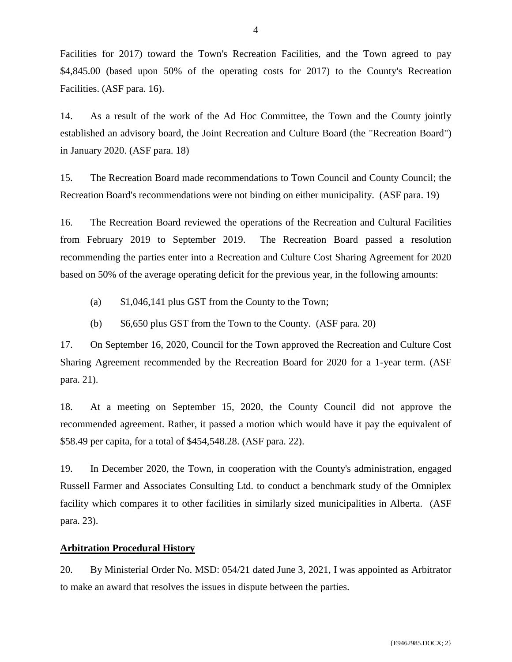Facilities for 2017) toward the Town's Recreation Facilities, and the Town agreed to pay \$4,845.00 (based upon 50% of the operating costs for 2017) to the County's Recreation Facilities. (ASF para. 16).

14. As a result of the work of the Ad Hoc Committee, the Town and the County jointly established an advisory board, the Joint Recreation and Culture Board (the "Recreation Board") in January 2020. (ASF para. 18)

15. The Recreation Board made recommendations to Town Council and County Council; the Recreation Board's recommendations were not binding on either municipality. (ASF para. 19)

16. The Recreation Board reviewed the operations of the Recreation and Cultural Facilities from February 2019 to September 2019. The Recreation Board passed a resolution recommending the parties enter into a Recreation and Culture Cost Sharing Agreement for 2020 based on 50% of the average operating deficit for the previous year, in the following amounts:

- (a) \$1,046,141 plus GST from the County to the Town;
- (b) \$6,650 plus GST from the Town to the County. (ASF para. 20)

17. On September 16, 2020, Council for the Town approved the Recreation and Culture Cost Sharing Agreement recommended by the Recreation Board for 2020 for a 1-year term. (ASF para. 21).

18. At a meeting on September 15, 2020, the County Council did not approve the recommended agreement. Rather, it passed a motion which would have it pay the equivalent of \$58.49 per capita, for a total of \$454,548.28. (ASF para. 22).

19. In December 2020, the Town, in cooperation with the County's administration, engaged Russell Farmer and Associates Consulting Ltd. to conduct a benchmark study of the Omniplex facility which compares it to other facilities in similarly sized municipalities in Alberta. (ASF para. 23).

## **Arbitration Procedural History**

20. By Ministerial Order No. MSD: 054/21 dated June 3, 2021, I was appointed as Arbitrator to make an award that resolves the issues in dispute between the parties.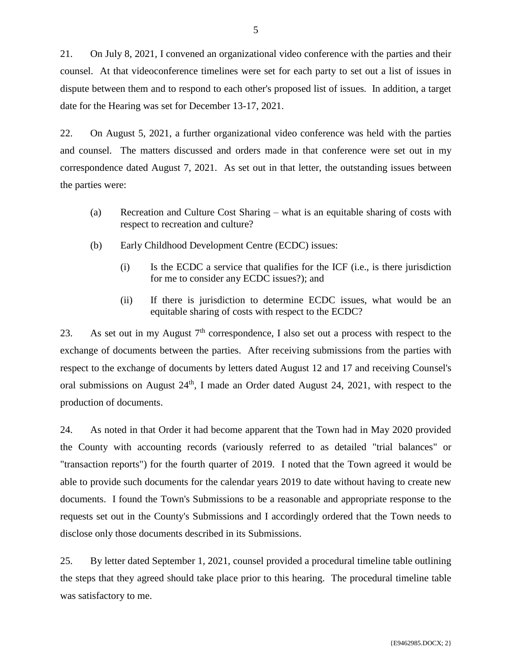21. On July 8, 2021, I convened an organizational video conference with the parties and their counsel. At that videoconference timelines were set for each party to set out a list of issues in dispute between them and to respond to each other's proposed list of issues. In addition, a target date for the Hearing was set for December 13-17, 2021.

22. On August 5, 2021, a further organizational video conference was held with the parties and counsel. The matters discussed and orders made in that conference were set out in my correspondence dated August 7, 2021. As set out in that letter, the outstanding issues between the parties were:

- (a) Recreation and Culture Cost Sharing what is an equitable sharing of costs with respect to recreation and culture?
- (b) Early Childhood Development Centre (ECDC) issues:
	- (i) Is the ECDC a service that qualifies for the ICF (i.e., is there jurisdiction for me to consider any ECDC issues?); and
	- (ii) If there is jurisdiction to determine ECDC issues, what would be an equitable sharing of costs with respect to the ECDC?

23. As set out in my August  $7<sup>th</sup>$  correspondence, I also set out a process with respect to the exchange of documents between the parties. After receiving submissions from the parties with respect to the exchange of documents by letters dated August 12 and 17 and receiving Counsel's oral submissions on August  $24<sup>th</sup>$ , I made an Order dated August 24, 2021, with respect to the production of documents.

24. As noted in that Order it had become apparent that the Town had in May 2020 provided the County with accounting records (variously referred to as detailed "trial balances" or "transaction reports") for the fourth quarter of 2019. I noted that the Town agreed it would be able to provide such documents for the calendar years 2019 to date without having to create new documents. I found the Town's Submissions to be a reasonable and appropriate response to the requests set out in the County's Submissions and I accordingly ordered that the Town needs to disclose only those documents described in its Submissions.

25. By letter dated September 1, 2021, counsel provided a procedural timeline table outlining the steps that they agreed should take place prior to this hearing. The procedural timeline table was satisfactory to me.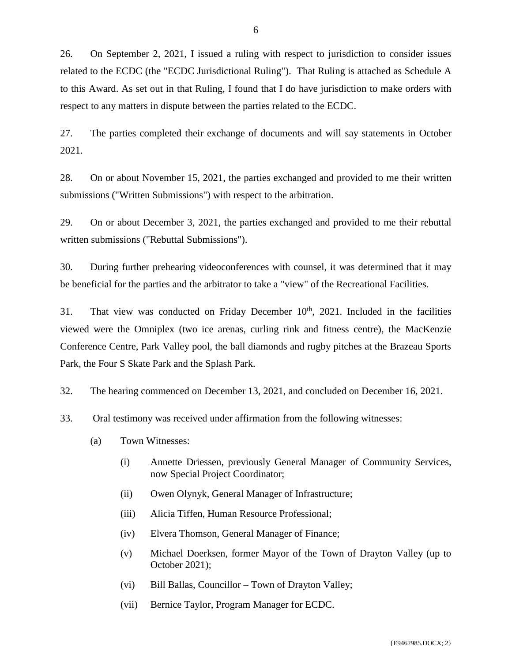26. On September 2, 2021, I issued a ruling with respect to jurisdiction to consider issues related to the ECDC (the "ECDC Jurisdictional Ruling"). That Ruling is attached as Schedule A to this Award. As set out in that Ruling, I found that I do have jurisdiction to make orders with respect to any matters in dispute between the parties related to the ECDC.

27. The parties completed their exchange of documents and will say statements in October 2021.

28. On or about November 15, 2021, the parties exchanged and provided to me their written submissions ("Written Submissions") with respect to the arbitration.

29. On or about December 3, 2021, the parties exchanged and provided to me their rebuttal written submissions ("Rebuttal Submissions").

30. During further prehearing videoconferences with counsel, it was determined that it may be beneficial for the parties and the arbitrator to take a "view" of the Recreational Facilities.

31. That view was conducted on Friday December  $10<sup>th</sup>$ , 2021. Included in the facilities viewed were the Omniplex (two ice arenas, curling rink and fitness centre), the MacKenzie Conference Centre, Park Valley pool, the ball diamonds and rugby pitches at the Brazeau Sports Park, the Four S Skate Park and the Splash Park.

32. The hearing commenced on December 13, 2021, and concluded on December 16, 2021.

- 33. Oral testimony was received under affirmation from the following witnesses:
	- (a) Town Witnesses:
		- (i) Annette Driessen, previously General Manager of Community Services, now Special Project Coordinator;
		- (ii) Owen Olynyk, General Manager of Infrastructure;
		- (iii) Alicia Tiffen, Human Resource Professional;
		- (iv) Elvera Thomson, General Manager of Finance;
		- (v) Michael Doerksen, former Mayor of the Town of Drayton Valley (up to October 2021);
		- (vi) Bill Ballas, Councillor Town of Drayton Valley;
		- (vii) Bernice Taylor, Program Manager for ECDC.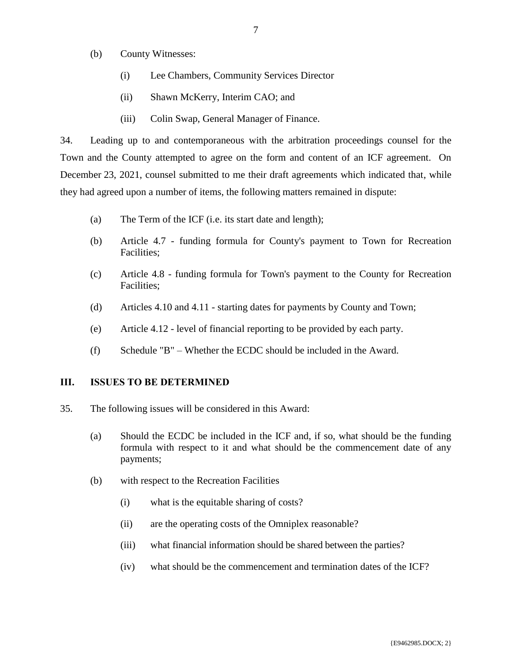- (b) County Witnesses:
	- (i) Lee Chambers, Community Services Director
	- (ii) Shawn McKerry, Interim CAO; and
	- (iii) Colin Swap, General Manager of Finance.

34. Leading up to and contemporaneous with the arbitration proceedings counsel for the Town and the County attempted to agree on the form and content of an ICF agreement. On December 23, 2021, counsel submitted to me their draft agreements which indicated that, while they had agreed upon a number of items, the following matters remained in dispute:

- (a) The Term of the ICF (i.e. its start date and length);
- (b) Article 4.7 funding formula for County's payment to Town for Recreation Facilities;
- (c) Article 4.8 funding formula for Town's payment to the County for Recreation Facilities;
- (d) Articles 4.10 and 4.11 starting dates for payments by County and Town;
- (e) Article 4.12 level of financial reporting to be provided by each party.
- (f) Schedule "B" Whether the ECDC should be included in the Award.

## <span id="page-8-0"></span>**III. ISSUES TO BE DETERMINED**

- 35. The following issues will be considered in this Award:
	- (a) Should the ECDC be included in the ICF and, if so, what should be the funding formula with respect to it and what should be the commencement date of any payments;
	- (b) with respect to the Recreation Facilities
		- (i) what is the equitable sharing of costs?
		- (ii) are the operating costs of the Omniplex reasonable?
		- (iii) what financial information should be shared between the parties?
		- (iv) what should be the commencement and termination dates of the ICF?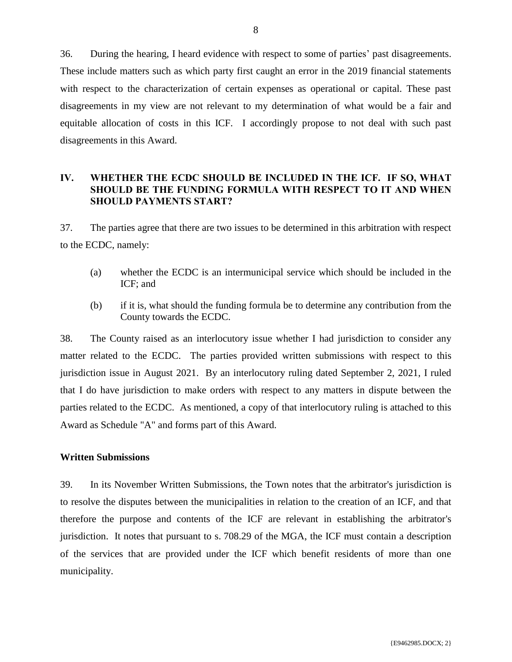36. During the hearing, I heard evidence with respect to some of parties' past disagreements. These include matters such as which party first caught an error in the 2019 financial statements with respect to the characterization of certain expenses as operational or capital. These past disagreements in my view are not relevant to my determination of what would be a fair and equitable allocation of costs in this ICF. I accordingly propose to not deal with such past disagreements in this Award.

## <span id="page-9-0"></span>**IV. WHETHER THE ECDC SHOULD BE INCLUDED IN THE ICF. IF SO, WHAT SHOULD BE THE FUNDING FORMULA WITH RESPECT TO IT AND WHEN SHOULD PAYMENTS START?**

37. The parties agree that there are two issues to be determined in this arbitration with respect to the ECDC, namely:

- (a) whether the ECDC is an intermunicipal service which should be included in the ICF; and
- (b) if it is, what should the funding formula be to determine any contribution from the County towards the ECDC.

38. The County raised as an interlocutory issue whether I had jurisdiction to consider any matter related to the ECDC. The parties provided written submissions with respect to this jurisdiction issue in August 2021. By an interlocutory ruling dated September 2, 2021, I ruled that I do have jurisdiction to make orders with respect to any matters in dispute between the parties related to the ECDC. As mentioned, a copy of that interlocutory ruling is attached to this Award as Schedule "A" and forms part of this Award.

## **Written Submissions**

39. In its November Written Submissions, the Town notes that the arbitrator's jurisdiction is to resolve the disputes between the municipalities in relation to the creation of an ICF, and that therefore the purpose and contents of the ICF are relevant in establishing the arbitrator's jurisdiction. It notes that pursuant to s. 708.29 of the MGA, the ICF must contain a description of the services that are provided under the ICF which benefit residents of more than one municipality.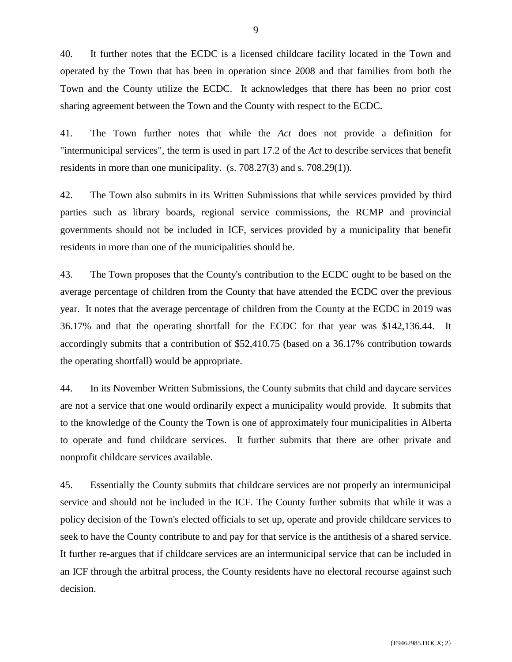40. It further notes that the ECDC is a licensed childcare facility located in the Town and operated by the Town that has been in operation since 2008 and that families from both the Town and the County utilize the ECDC. It acknowledges that there has been no prior cost sharing agreement between the Town and the County with respect to the ECDC.

41. The Town further notes that while the *Act* does not provide a definition for "intermunicipal services", the term is used in part 17.2 of the *Act* to describe services that benefit residents in more than one municipality. (s. 708.27(3) and s. 708.29(1)).

42. The Town also submits in its Written Submissions that while services provided by third parties such as library boards, regional service commissions, the RCMP and provincial governments should not be included in ICF, services provided by a municipality that benefit residents in more than one of the municipalities should be.

43. The Town proposes that the County's contribution to the ECDC ought to be based on the average percentage of children from the County that have attended the ECDC over the previous year. It notes that the average percentage of children from the County at the ECDC in 2019 was 36.17% and that the operating shortfall for the ECDC for that year was \$142,136.44. It accordingly submits that a contribution of \$52,410.75 (based on a 36.17% contribution towards the operating shortfall) would be appropriate.

44. In its November Written Submissions, the County submits that child and daycare services are not a service that one would ordinarily expect a municipality would provide. It submits that to the knowledge of the County the Town is one of approximately four municipalities in Alberta to operate and fund childcare services. It further submits that there are other private and nonprofit childcare services available.

45. Essentially the County submits that childcare services are not properly an intermunicipal service and should not be included in the ICF. The County further submits that while it was a policy decision of the Town's elected officials to set up, operate and provide childcare services to seek to have the County contribute to and pay for that service is the antithesis of a shared service. It further re-argues that if childcare services are an intermunicipal service that can be included in an ICF through the arbitral process, the County residents have no electoral recourse against such decision.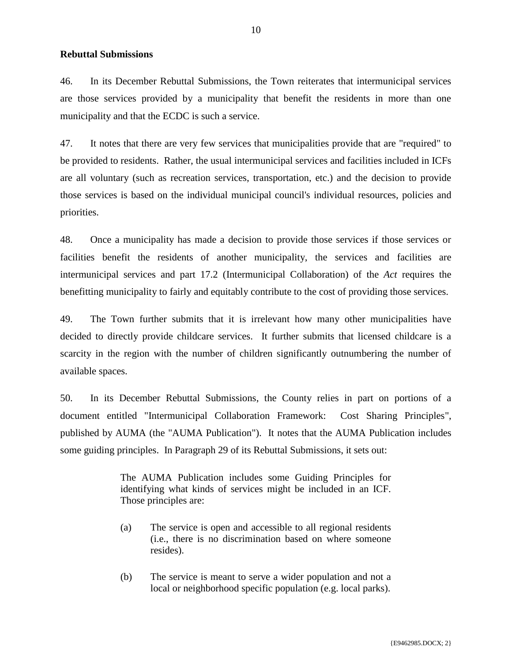### **Rebuttal Submissions**

46. In its December Rebuttal Submissions, the Town reiterates that intermunicipal services are those services provided by a municipality that benefit the residents in more than one municipality and that the ECDC is such a service.

47. It notes that there are very few services that municipalities provide that are "required" to be provided to residents. Rather, the usual intermunicipal services and facilities included in ICFs are all voluntary (such as recreation services, transportation, etc.) and the decision to provide those services is based on the individual municipal council's individual resources, policies and priorities.

48. Once a municipality has made a decision to provide those services if those services or facilities benefit the residents of another municipality, the services and facilities are intermunicipal services and part 17.2 (Intermunicipal Collaboration) of the *Act* requires the benefitting municipality to fairly and equitably contribute to the cost of providing those services.

49. The Town further submits that it is irrelevant how many other municipalities have decided to directly provide childcare services. It further submits that licensed childcare is a scarcity in the region with the number of children significantly outnumbering the number of available spaces.

50. In its December Rebuttal Submissions, the County relies in part on portions of a document entitled "Intermunicipal Collaboration Framework: Cost Sharing Principles", published by AUMA (the "AUMA Publication"). It notes that the AUMA Publication includes some guiding principles. In Paragraph 29 of its Rebuttal Submissions, it sets out:

> The AUMA Publication includes some Guiding Principles for identifying what kinds of services might be included in an ICF. Those principles are:

- (a) The service is open and accessible to all regional residents (i.e., there is no discrimination based on where someone resides).
- (b) The service is meant to serve a wider population and not a local or neighborhood specific population (e.g. local parks).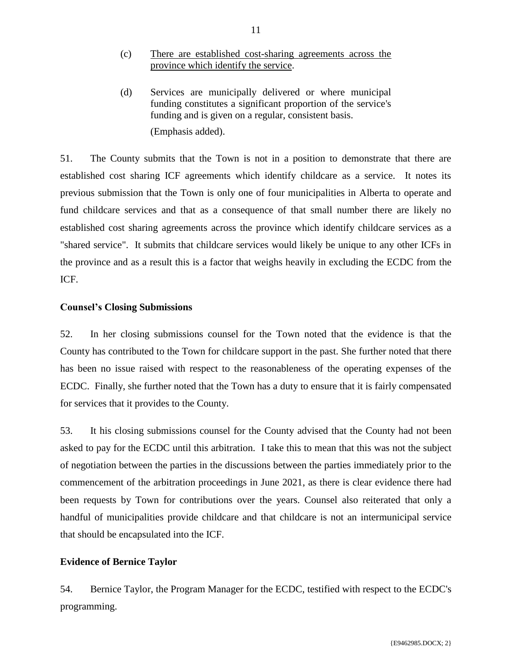- (c) There are established cost-sharing agreements across the province which identify the service.
- (d) Services are municipally delivered or where municipal funding constitutes a significant proportion of the service's funding and is given on a regular, consistent basis. (Emphasis added).

51. The County submits that the Town is not in a position to demonstrate that there are established cost sharing ICF agreements which identify childcare as a service. It notes its previous submission that the Town is only one of four municipalities in Alberta to operate and fund childcare services and that as a consequence of that small number there are likely no established cost sharing agreements across the province which identify childcare services as a "shared service". It submits that childcare services would likely be unique to any other ICFs in the province and as a result this is a factor that weighs heavily in excluding the ECDC from the ICF.

## **Counsel's Closing Submissions**

52. In her closing submissions counsel for the Town noted that the evidence is that the County has contributed to the Town for childcare support in the past. She further noted that there has been no issue raised with respect to the reasonableness of the operating expenses of the ECDC. Finally, she further noted that the Town has a duty to ensure that it is fairly compensated for services that it provides to the County.

53. It his closing submissions counsel for the County advised that the County had not been asked to pay for the ECDC until this arbitration. I take this to mean that this was not the subject of negotiation between the parties in the discussions between the parties immediately prior to the commencement of the arbitration proceedings in June 2021, as there is clear evidence there had been requests by Town for contributions over the years. Counsel also reiterated that only a handful of municipalities provide childcare and that childcare is not an intermunicipal service that should be encapsulated into the ICF.

## **Evidence of Bernice Taylor**

54. Bernice Taylor, the Program Manager for the ECDC, testified with respect to the ECDC's programming.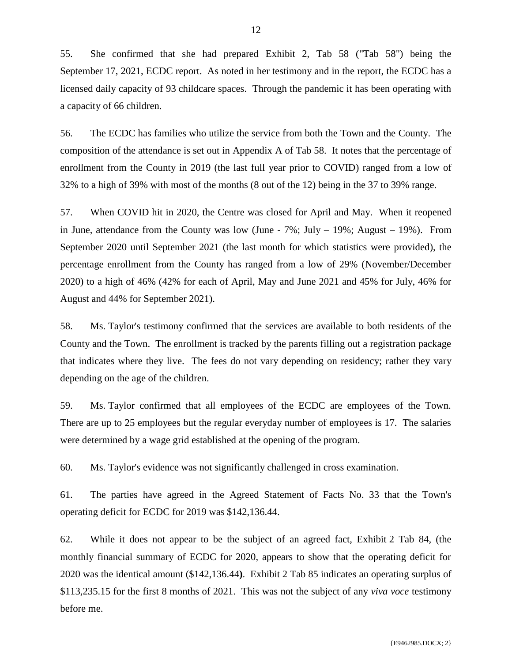55. She confirmed that she had prepared Exhibit 2, Tab 58 ("Tab 58") being the September 17, 2021, ECDC report. As noted in her testimony and in the report, the ECDC has a licensed daily capacity of 93 childcare spaces. Through the pandemic it has been operating with a capacity of 66 children.

56. The ECDC has families who utilize the service from both the Town and the County. The composition of the attendance is set out in Appendix A of Tab 58. It notes that the percentage of enrollment from the County in 2019 (the last full year prior to COVID) ranged from a low of 32% to a high of 39% with most of the months (8 out of the 12) being in the 37 to 39% range.

57. When COVID hit in 2020, the Centre was closed for April and May. When it reopened in June, attendance from the County was low (June -  $7\%$ ; July  $-$  19%; August  $-$  19%). From September 2020 until September 2021 (the last month for which statistics were provided), the percentage enrollment from the County has ranged from a low of 29% (November/December 2020) to a high of 46% (42% for each of April, May and June 2021 and 45% for July, 46% for August and 44% for September 2021).

58. Ms. Taylor's testimony confirmed that the services are available to both residents of the County and the Town. The enrollment is tracked by the parents filling out a registration package that indicates where they live. The fees do not vary depending on residency; rather they vary depending on the age of the children.

59. Ms. Taylor confirmed that all employees of the ECDC are employees of the Town. There are up to 25 employees but the regular everyday number of employees is 17. The salaries were determined by a wage grid established at the opening of the program.

60. Ms. Taylor's evidence was not significantly challenged in cross examination.

61. The parties have agreed in the Agreed Statement of Facts No. 33 that the Town's operating deficit for ECDC for 2019 was \$142,136.44.

62. While it does not appear to be the subject of an agreed fact, Exhibit 2 Tab 84, (the monthly financial summary of ECDC for 2020, appears to show that the operating deficit for 2020 was the identical amount (\$142,136.44**)**. Exhibit 2 Tab 85 indicates an operating surplus of \$113,235.15 for the first 8 months of 2021. This was not the subject of any *viva voce* testimony before me.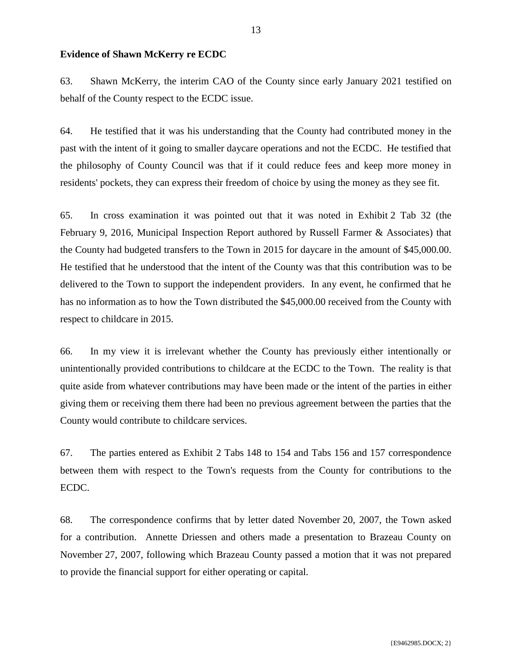### **Evidence of Shawn McKerry re ECDC**

63. Shawn McKerry, the interim CAO of the County since early January 2021 testified on behalf of the County respect to the ECDC issue.

64. He testified that it was his understanding that the County had contributed money in the past with the intent of it going to smaller daycare operations and not the ECDC. He testified that the philosophy of County Council was that if it could reduce fees and keep more money in residents' pockets, they can express their freedom of choice by using the money as they see fit.

65. In cross examination it was pointed out that it was noted in Exhibit 2 Tab 32 (the February 9, 2016, Municipal Inspection Report authored by Russell Farmer & Associates) that the County had budgeted transfers to the Town in 2015 for daycare in the amount of \$45,000.00. He testified that he understood that the intent of the County was that this contribution was to be delivered to the Town to support the independent providers. In any event, he confirmed that he has no information as to how the Town distributed the \$45,000.00 received from the County with respect to childcare in 2015.

66. In my view it is irrelevant whether the County has previously either intentionally or unintentionally provided contributions to childcare at the ECDC to the Town. The reality is that quite aside from whatever contributions may have been made or the intent of the parties in either giving them or receiving them there had been no previous agreement between the parties that the County would contribute to childcare services.

67. The parties entered as Exhibit 2 Tabs 148 to 154 and Tabs 156 and 157 correspondence between them with respect to the Town's requests from the County for contributions to the ECDC.

68. The correspondence confirms that by letter dated November 20, 2007, the Town asked for a contribution. Annette Driessen and others made a presentation to Brazeau County on November 27, 2007, following which Brazeau County passed a motion that it was not prepared to provide the financial support for either operating or capital.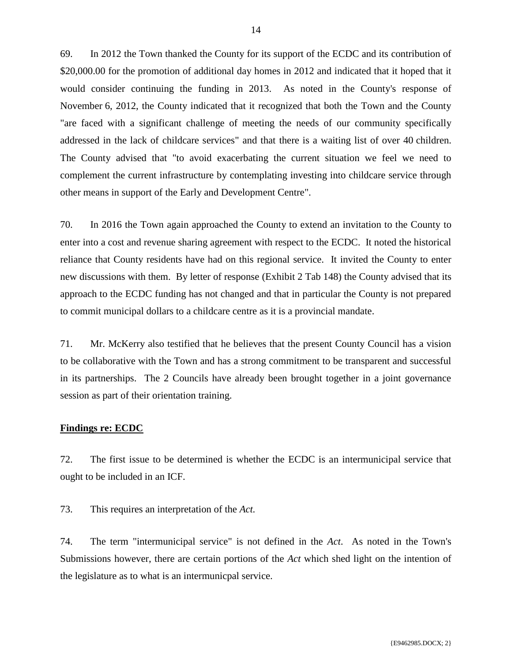69. In 2012 the Town thanked the County for its support of the ECDC and its contribution of \$20,000.00 for the promotion of additional day homes in 2012 and indicated that it hoped that it would consider continuing the funding in 2013. As noted in the County's response of November 6, 2012, the County indicated that it recognized that both the Town and the County "are faced with a significant challenge of meeting the needs of our community specifically addressed in the lack of childcare services" and that there is a waiting list of over 40 children. The County advised that "to avoid exacerbating the current situation we feel we need to complement the current infrastructure by contemplating investing into childcare service through other means in support of the Early and Development Centre".

70. In 2016 the Town again approached the County to extend an invitation to the County to enter into a cost and revenue sharing agreement with respect to the ECDC. It noted the historical reliance that County residents have had on this regional service. It invited the County to enter new discussions with them. By letter of response (Exhibit 2 Tab 148) the County advised that its approach to the ECDC funding has not changed and that in particular the County is not prepared to commit municipal dollars to a childcare centre as it is a provincial mandate.

71. Mr. McKerry also testified that he believes that the present County Council has a vision to be collaborative with the Town and has a strong commitment to be transparent and successful in its partnerships. The 2 Councils have already been brought together in a joint governance session as part of their orientation training.

## **Findings re: ECDC**

72. The first issue to be determined is whether the ECDC is an intermunicipal service that ought to be included in an ICF.

73. This requires an interpretation of the *Act.*

74. The term "intermunicipal service" is not defined in the *Act*. As noted in the Town's Submissions however, there are certain portions of the *Act* which shed light on the intention of the legislature as to what is an intermunicpal service.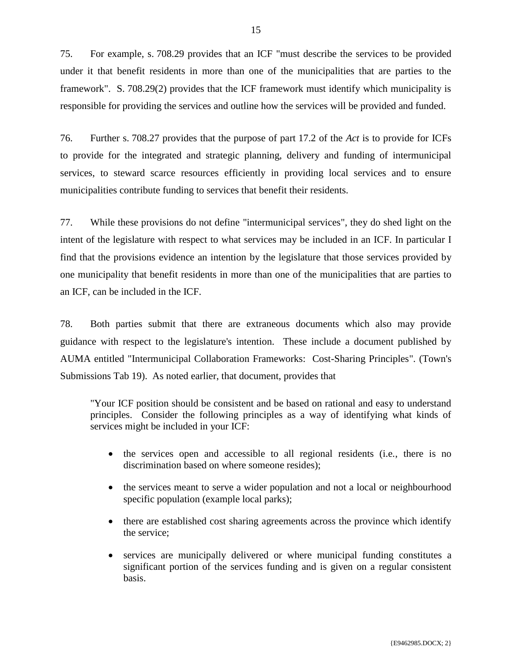75. For example, s. 708.29 provides that an ICF "must describe the services to be provided under it that benefit residents in more than one of the municipalities that are parties to the framework". S. 708.29(2) provides that the ICF framework must identify which municipality is responsible for providing the services and outline how the services will be provided and funded.

76. Further s. 708.27 provides that the purpose of part 17.2 of the *Act* is to provide for ICFs to provide for the integrated and strategic planning, delivery and funding of intermunicipal services, to steward scarce resources efficiently in providing local services and to ensure municipalities contribute funding to services that benefit their residents.

77. While these provisions do not define "intermunicipal services", they do shed light on the intent of the legislature with respect to what services may be included in an ICF. In particular I find that the provisions evidence an intention by the legislature that those services provided by one municipality that benefit residents in more than one of the municipalities that are parties to an ICF, can be included in the ICF.

78. Both parties submit that there are extraneous documents which also may provide guidance with respect to the legislature's intention. These include a document published by AUMA entitled "Intermunicipal Collaboration Frameworks: Cost-Sharing Principles". (Town's Submissions Tab 19). As noted earlier, that document, provides that

"Your ICF position should be consistent and be based on rational and easy to understand principles. Consider the following principles as a way of identifying what kinds of services might be included in your ICF:

- the services open and accessible to all regional residents (i.e., there is no discrimination based on where someone resides);
- the services meant to serve a wider population and not a local or neighbourhood specific population (example local parks);
- there are established cost sharing agreements across the province which identify the service;
- services are municipally delivered or where municipal funding constitutes a significant portion of the services funding and is given on a regular consistent basis.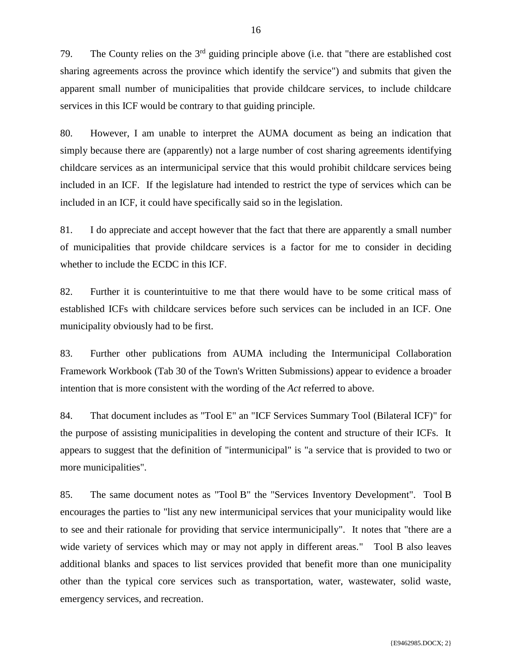79. The County relies on the 3rd guiding principle above (i.e. that "there are established cost sharing agreements across the province which identify the service") and submits that given the apparent small number of municipalities that provide childcare services, to include childcare services in this ICF would be contrary to that guiding principle.

80. However, I am unable to interpret the AUMA document as being an indication that simply because there are (apparently) not a large number of cost sharing agreements identifying childcare services as an intermunicipal service that this would prohibit childcare services being included in an ICF. If the legislature had intended to restrict the type of services which can be included in an ICF, it could have specifically said so in the legislation.

81. I do appreciate and accept however that the fact that there are apparently a small number of municipalities that provide childcare services is a factor for me to consider in deciding whether to include the ECDC in this ICF.

82. Further it is counterintuitive to me that there would have to be some critical mass of established ICFs with childcare services before such services can be included in an ICF. One municipality obviously had to be first.

83. Further other publications from AUMA including the Intermunicipal Collaboration Framework Workbook (Tab 30 of the Town's Written Submissions) appear to evidence a broader intention that is more consistent with the wording of the *Act* referred to above.

84. That document includes as "Tool E" an "ICF Services Summary Tool (Bilateral ICF)" for the purpose of assisting municipalities in developing the content and structure of their ICFs. It appears to suggest that the definition of "intermunicipal" is "a service that is provided to two or more municipalities".

85. The same document notes as "Tool B" the "Services Inventory Development". Tool B encourages the parties to "list any new intermunicipal services that your municipality would like to see and their rationale for providing that service intermunicipally". It notes that "there are a wide variety of services which may or may not apply in different areas." Tool B also leaves additional blanks and spaces to list services provided that benefit more than one municipality other than the typical core services such as transportation, water, wastewater, solid waste, emergency services, and recreation.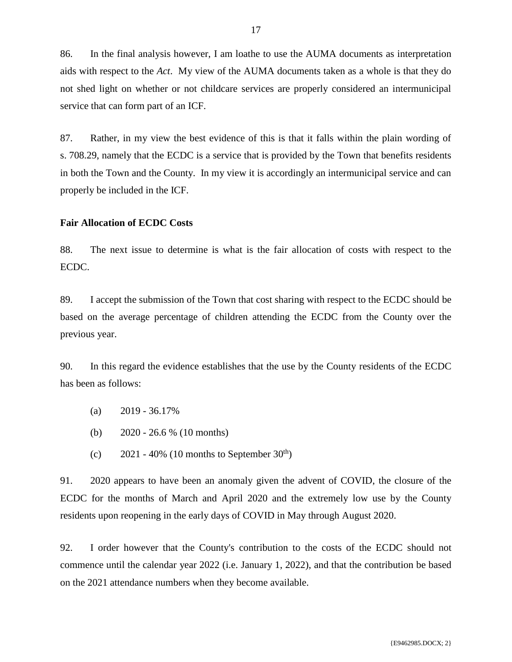86. In the final analysis however, I am loathe to use the AUMA documents as interpretation aids with respect to the *Act*. My view of the AUMA documents taken as a whole is that they do not shed light on whether or not childcare services are properly considered an intermunicipal service that can form part of an ICF.

87. Rather, in my view the best evidence of this is that it falls within the plain wording of s. 708.29, namely that the ECDC is a service that is provided by the Town that benefits residents in both the Town and the County. In my view it is accordingly an intermunicipal service and can properly be included in the ICF.

### **Fair Allocation of ECDC Costs**

88. The next issue to determine is what is the fair allocation of costs with respect to the ECDC.

89. I accept the submission of the Town that cost sharing with respect to the ECDC should be based on the average percentage of children attending the ECDC from the County over the previous year.

90. In this regard the evidence establishes that the use by the County residents of the ECDC has been as follows:

- $(a)$  2019 36.17%
- (b) 2020 26.6 % (10 months)
- (c)  $2021 40\%$  (10 months to September 30<sup>th</sup>)

91. 2020 appears to have been an anomaly given the advent of COVID, the closure of the ECDC for the months of March and April 2020 and the extremely low use by the County residents upon reopening in the early days of COVID in May through August 2020.

92. I order however that the County's contribution to the costs of the ECDC should not commence until the calendar year 2022 (i.e. January 1, 2022), and that the contribution be based on the 2021 attendance numbers when they become available.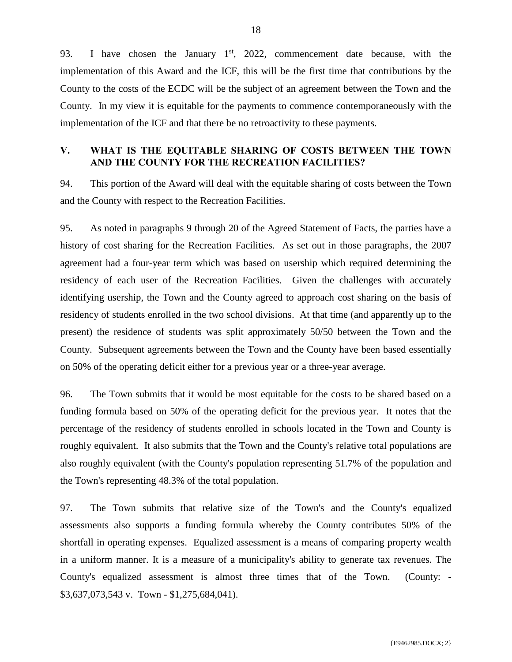93. I have chosen the January  $1<sup>st</sup>$ , 2022, commencement date because, with the implementation of this Award and the ICF, this will be the first time that contributions by the County to the costs of the ECDC will be the subject of an agreement between the Town and the County. In my view it is equitable for the payments to commence contemporaneously with the implementation of the ICF and that there be no retroactivity to these payments.

## <span id="page-19-0"></span>**V. WHAT IS THE EQUITABLE SHARING OF COSTS BETWEEN THE TOWN AND THE COUNTY FOR THE RECREATION FACILITIES?**

94. This portion of the Award will deal with the equitable sharing of costs between the Town and the County with respect to the Recreation Facilities.

95. As noted in paragraphs 9 through 20 of the Agreed Statement of Facts, the parties have a history of cost sharing for the Recreation Facilities. As set out in those paragraphs, the 2007 agreement had a four-year term which was based on usership which required determining the residency of each user of the Recreation Facilities. Given the challenges with accurately identifying usership, the Town and the County agreed to approach cost sharing on the basis of residency of students enrolled in the two school divisions. At that time (and apparently up to the present) the residence of students was split approximately 50/50 between the Town and the County. Subsequent agreements between the Town and the County have been based essentially on 50% of the operating deficit either for a previous year or a three-year average.

96. The Town submits that it would be most equitable for the costs to be shared based on a funding formula based on 50% of the operating deficit for the previous year. It notes that the percentage of the residency of students enrolled in schools located in the Town and County is roughly equivalent. It also submits that the Town and the County's relative total populations are also roughly equivalent (with the County's population representing 51.7% of the population and the Town's representing 48.3% of the total population.

97. The Town submits that relative size of the Town's and the County's equalized assessments also supports a funding formula whereby the County contributes 50% of the shortfall in operating expenses. Equalized assessment is a means of comparing property wealth in a uniform manner. It is a measure of a municipality's ability to generate tax revenues. The County's equalized assessment is almost three times that of the Town. (County: - \$3,637,073,543 v. Town - \$1,275,684,041).

18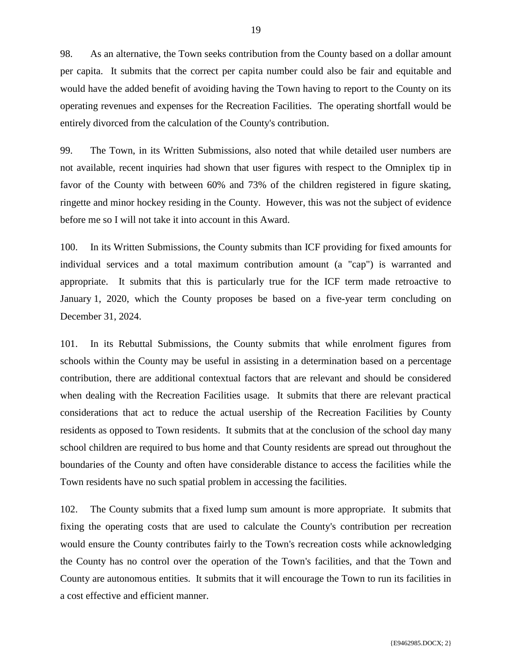98. As an alternative, the Town seeks contribution from the County based on a dollar amount per capita. It submits that the correct per capita number could also be fair and equitable and would have the added benefit of avoiding having the Town having to report to the County on its operating revenues and expenses for the Recreation Facilities. The operating shortfall would be entirely divorced from the calculation of the County's contribution.

99. The Town, in its Written Submissions, also noted that while detailed user numbers are not available, recent inquiries had shown that user figures with respect to the Omniplex tip in favor of the County with between 60% and 73% of the children registered in figure skating, ringette and minor hockey residing in the County. However, this was not the subject of evidence before me so I will not take it into account in this Award.

100. In its Written Submissions, the County submits than ICF providing for fixed amounts for individual services and a total maximum contribution amount (a "cap") is warranted and appropriate. It submits that this is particularly true for the ICF term made retroactive to January 1, 2020, which the County proposes be based on a five-year term concluding on December 31, 2024.

101. In its Rebuttal Submissions, the County submits that while enrolment figures from schools within the County may be useful in assisting in a determination based on a percentage contribution, there are additional contextual factors that are relevant and should be considered when dealing with the Recreation Facilities usage. It submits that there are relevant practical considerations that act to reduce the actual usership of the Recreation Facilities by County residents as opposed to Town residents. It submits that at the conclusion of the school day many school children are required to bus home and that County residents are spread out throughout the boundaries of the County and often have considerable distance to access the facilities while the Town residents have no such spatial problem in accessing the facilities.

102. The County submits that a fixed lump sum amount is more appropriate. It submits that fixing the operating costs that are used to calculate the County's contribution per recreation would ensure the County contributes fairly to the Town's recreation costs while acknowledging the County has no control over the operation of the Town's facilities, and that the Town and County are autonomous entities. It submits that it will encourage the Town to run its facilities in a cost effective and efficient manner.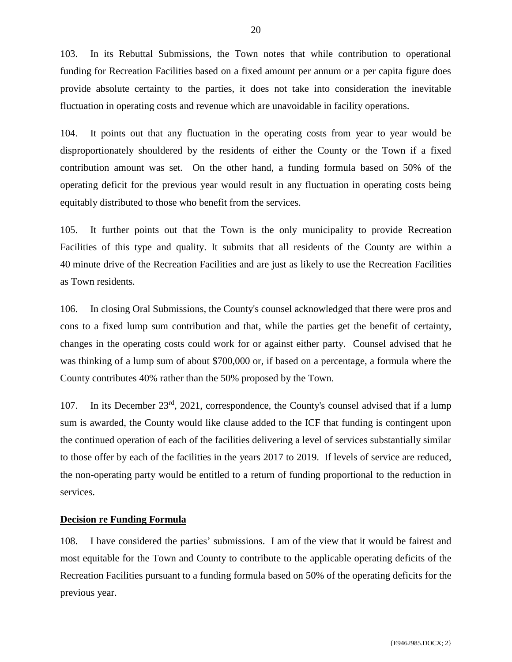103. In its Rebuttal Submissions, the Town notes that while contribution to operational funding for Recreation Facilities based on a fixed amount per annum or a per capita figure does provide absolute certainty to the parties, it does not take into consideration the inevitable fluctuation in operating costs and revenue which are unavoidable in facility operations.

104. It points out that any fluctuation in the operating costs from year to year would be disproportionately shouldered by the residents of either the County or the Town if a fixed contribution amount was set. On the other hand, a funding formula based on 50% of the operating deficit for the previous year would result in any fluctuation in operating costs being equitably distributed to those who benefit from the services.

105. It further points out that the Town is the only municipality to provide Recreation Facilities of this type and quality. It submits that all residents of the County are within a 40 minute drive of the Recreation Facilities and are just as likely to use the Recreation Facilities as Town residents.

106. In closing Oral Submissions, the County's counsel acknowledged that there were pros and cons to a fixed lump sum contribution and that, while the parties get the benefit of certainty, changes in the operating costs could work for or against either party. Counsel advised that he was thinking of a lump sum of about \$700,000 or, if based on a percentage, a formula where the County contributes 40% rather than the 50% proposed by the Town.

107. In its December  $23<sup>rd</sup>$ , 2021, correspondence, the County's counsel advised that if a lump sum is awarded, the County would like clause added to the ICF that funding is contingent upon the continued operation of each of the facilities delivering a level of services substantially similar to those offer by each of the facilities in the years 2017 to 2019. If levels of service are reduced, the non-operating party would be entitled to a return of funding proportional to the reduction in services.

## **Decision re Funding Formula**

108. I have considered the parties' submissions. I am of the view that it would be fairest and most equitable for the Town and County to contribute to the applicable operating deficits of the Recreation Facilities pursuant to a funding formula based on 50% of the operating deficits for the previous year.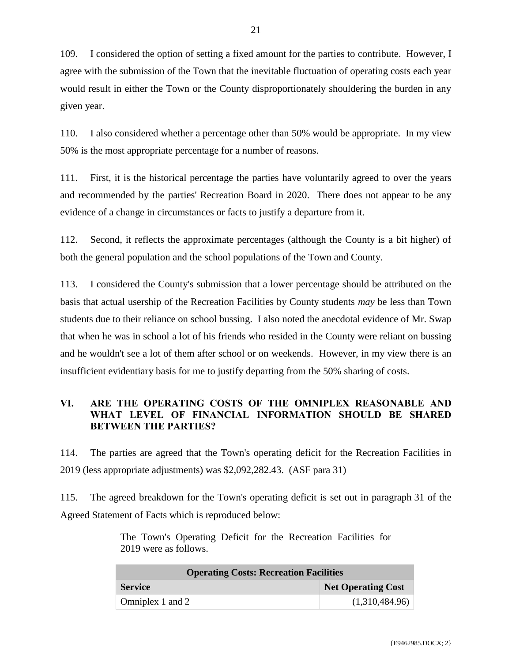109. I considered the option of setting a fixed amount for the parties to contribute. However, I agree with the submission of the Town that the inevitable fluctuation of operating costs each year would result in either the Town or the County disproportionately shouldering the burden in any given year.

110. I also considered whether a percentage other than 50% would be appropriate. In my view 50% is the most appropriate percentage for a number of reasons.

111. First, it is the historical percentage the parties have voluntarily agreed to over the years and recommended by the parties' Recreation Board in 2020. There does not appear to be any evidence of a change in circumstances or facts to justify a departure from it.

112. Second, it reflects the approximate percentages (although the County is a bit higher) of both the general population and the school populations of the Town and County.

113. I considered the County's submission that a lower percentage should be attributed on the basis that actual usership of the Recreation Facilities by County students *may* be less than Town students due to their reliance on school bussing. I also noted the anecdotal evidence of Mr. Swap that when he was in school a lot of his friends who resided in the County were reliant on bussing and he wouldn't see a lot of them after school or on weekends. However, in my view there is an insufficient evidentiary basis for me to justify departing from the 50% sharing of costs.

## <span id="page-22-0"></span>**VI. ARE THE OPERATING COSTS OF THE OMNIPLEX REASONABLE AND WHAT LEVEL OF FINANCIAL INFORMATION SHOULD BE SHARED BETWEEN THE PARTIES?**

114. The parties are agreed that the Town's operating deficit for the Recreation Facilities in 2019 (less appropriate adjustments) was \$2,092,282.43. (ASF para 31)

115. The agreed breakdown for the Town's operating deficit is set out in paragraph 31 of the Agreed Statement of Facts which is reproduced below:

> The Town's Operating Deficit for the Recreation Facilities for 2019 were as follows.

| <b>Operating Costs: Recreation Facilities</b> |                    |  |  |
|-----------------------------------------------|--------------------|--|--|
| <b>Service</b>                                | Net Operating Cost |  |  |
| Omniplex 1 and 2                              | (1,310,484.96)     |  |  |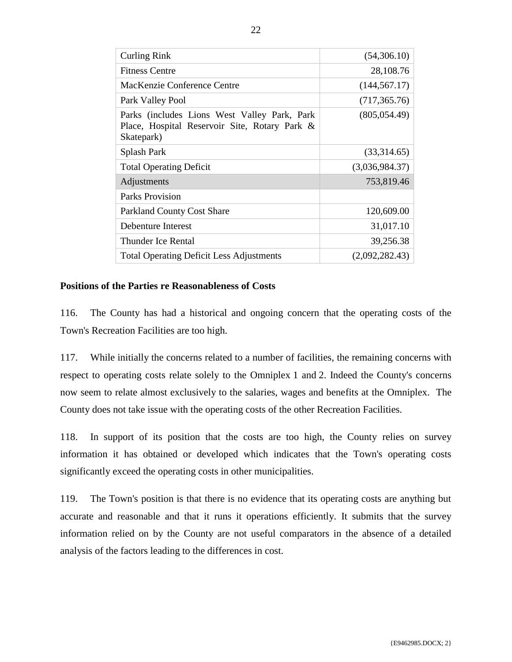| <b>Curling Rink</b>                                                                                         | (54,306.10)    |
|-------------------------------------------------------------------------------------------------------------|----------------|
| <b>Fitness Centre</b>                                                                                       | 28,108.76      |
| MacKenzie Conference Centre                                                                                 | (144, 567.17)  |
| Park Valley Pool                                                                                            | (717, 365.76)  |
| Parks (includes Lions West Valley Park, Park<br>Place, Hospital Reservoir Site, Rotary Park &<br>Skatepark) | (805, 054.49)  |
| Splash Park                                                                                                 | (33,314.65)    |
| <b>Total Operating Deficit</b>                                                                              | (3,036,984.37) |
| Adjustments                                                                                                 | 753,819.46     |
| Parks Provision                                                                                             |                |
| <b>Parkland County Cost Share</b>                                                                           | 120,609.00     |
| Debenture Interest                                                                                          | 31,017.10      |
| Thunder Ice Rental                                                                                          | 39,256.38      |
| <b>Total Operating Deficit Less Adjustments</b>                                                             | (2,092,282.43) |

## **Positions of the Parties re Reasonableness of Costs**

116. The County has had a historical and ongoing concern that the operating costs of the Town's Recreation Facilities are too high.

117. While initially the concerns related to a number of facilities, the remaining concerns with respect to operating costs relate solely to the Omniplex 1 and 2. Indeed the County's concerns now seem to relate almost exclusively to the salaries, wages and benefits at the Omniplex. The County does not take issue with the operating costs of the other Recreation Facilities.

118. In support of its position that the costs are too high, the County relies on survey information it has obtained or developed which indicates that the Town's operating costs significantly exceed the operating costs in other municipalities.

119. The Town's position is that there is no evidence that its operating costs are anything but accurate and reasonable and that it runs it operations efficiently. It submits that the survey information relied on by the County are not useful comparators in the absence of a detailed analysis of the factors leading to the differences in cost.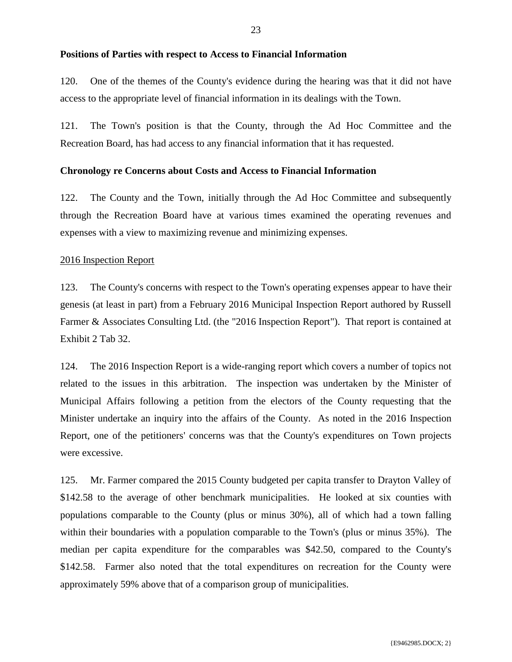#### **Positions of Parties with respect to Access to Financial Information**

120. One of the themes of the County's evidence during the hearing was that it did not have access to the appropriate level of financial information in its dealings with the Town.

121. The Town's position is that the County, through the Ad Hoc Committee and the Recreation Board, has had access to any financial information that it has requested.

### **Chronology re Concerns about Costs and Access to Financial Information**

122. The County and the Town, initially through the Ad Hoc Committee and subsequently through the Recreation Board have at various times examined the operating revenues and expenses with a view to maximizing revenue and minimizing expenses.

### 2016 Inspection Report

123. The County's concerns with respect to the Town's operating expenses appear to have their genesis (at least in part) from a February 2016 Municipal Inspection Report authored by Russell Farmer & Associates Consulting Ltd. (the "2016 Inspection Report"). That report is contained at Exhibit 2 Tab 32.

124. The 2016 Inspection Report is a wide-ranging report which covers a number of topics not related to the issues in this arbitration. The inspection was undertaken by the Minister of Municipal Affairs following a petition from the electors of the County requesting that the Minister undertake an inquiry into the affairs of the County. As noted in the 2016 Inspection Report, one of the petitioners' concerns was that the County's expenditures on Town projects were excessive.

125. Mr. Farmer compared the 2015 County budgeted per capita transfer to Drayton Valley of \$142.58 to the average of other benchmark municipalities. He looked at six counties with populations comparable to the County (plus or minus 30%), all of which had a town falling within their boundaries with a population comparable to the Town's (plus or minus 35%). The median per capita expenditure for the comparables was \$42.50, compared to the County's \$142.58. Farmer also noted that the total expenditures on recreation for the County were approximately 59% above that of a comparison group of municipalities.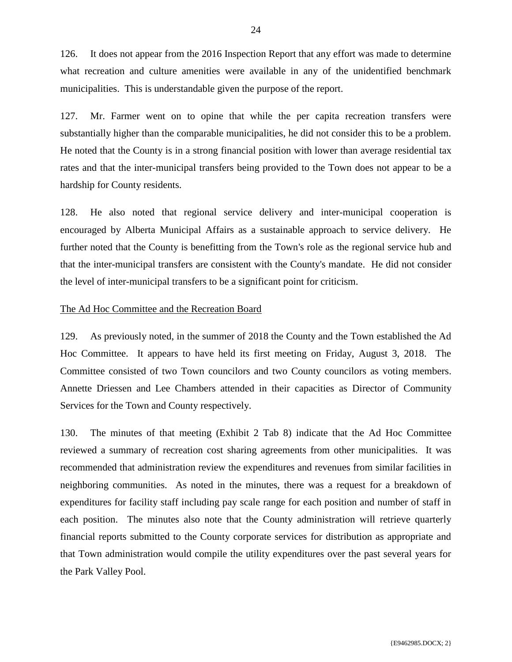126. It does not appear from the 2016 Inspection Report that any effort was made to determine what recreation and culture amenities were available in any of the unidentified benchmark municipalities. This is understandable given the purpose of the report.

127. Mr. Farmer went on to opine that while the per capita recreation transfers were substantially higher than the comparable municipalities, he did not consider this to be a problem. He noted that the County is in a strong financial position with lower than average residential tax rates and that the inter-municipal transfers being provided to the Town does not appear to be a hardship for County residents.

128. He also noted that regional service delivery and inter-municipal cooperation is encouraged by Alberta Municipal Affairs as a sustainable approach to service delivery. He further noted that the County is benefitting from the Town's role as the regional service hub and that the inter-municipal transfers are consistent with the County's mandate. He did not consider the level of inter-municipal transfers to be a significant point for criticism.

## The Ad Hoc Committee and the Recreation Board

129. As previously noted, in the summer of 2018 the County and the Town established the Ad Hoc Committee. It appears to have held its first meeting on Friday, August 3, 2018. The Committee consisted of two Town councilors and two County councilors as voting members. Annette Driessen and Lee Chambers attended in their capacities as Director of Community Services for the Town and County respectively.

130. The minutes of that meeting (Exhibit 2 Tab 8) indicate that the Ad Hoc Committee reviewed a summary of recreation cost sharing agreements from other municipalities. It was recommended that administration review the expenditures and revenues from similar facilities in neighboring communities. As noted in the minutes, there was a request for a breakdown of expenditures for facility staff including pay scale range for each position and number of staff in each position. The minutes also note that the County administration will retrieve quarterly financial reports submitted to the County corporate services for distribution as appropriate and that Town administration would compile the utility expenditures over the past several years for the Park Valley Pool.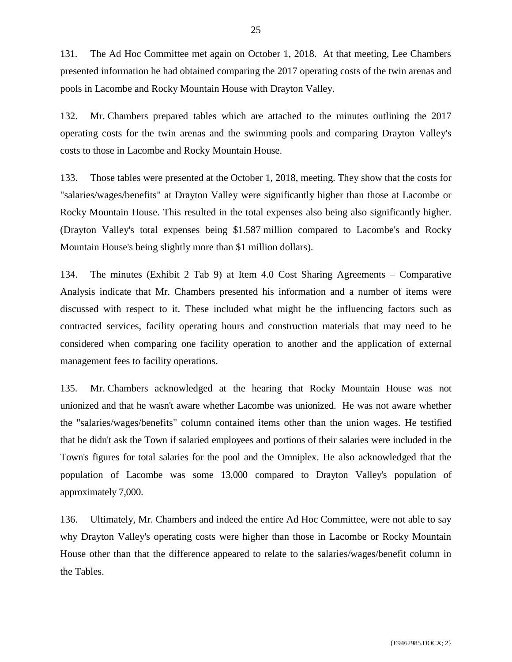131. The Ad Hoc Committee met again on October 1, 2018. At that meeting, Lee Chambers presented information he had obtained comparing the 2017 operating costs of the twin arenas and pools in Lacombe and Rocky Mountain House with Drayton Valley.

132. Mr. Chambers prepared tables which are attached to the minutes outlining the 2017 operating costs for the twin arenas and the swimming pools and comparing Drayton Valley's costs to those in Lacombe and Rocky Mountain House.

133. Those tables were presented at the October 1, 2018, meeting. They show that the costs for "salaries/wages/benefits" at Drayton Valley were significantly higher than those at Lacombe or Rocky Mountain House. This resulted in the total expenses also being also significantly higher. (Drayton Valley's total expenses being \$1.587 million compared to Lacombe's and Rocky Mountain House's being slightly more than \$1 million dollars).

134. The minutes (Exhibit 2 Tab 9) at Item 4.0 Cost Sharing Agreements – Comparative Analysis indicate that Mr. Chambers presented his information and a number of items were discussed with respect to it. These included what might be the influencing factors such as contracted services, facility operating hours and construction materials that may need to be considered when comparing one facility operation to another and the application of external management fees to facility operations.

135. Mr. Chambers acknowledged at the hearing that Rocky Mountain House was not unionized and that he wasn't aware whether Lacombe was unionized. He was not aware whether the "salaries/wages/benefits" column contained items other than the union wages. He testified that he didn't ask the Town if salaried employees and portions of their salaries were included in the Town's figures for total salaries for the pool and the Omniplex. He also acknowledged that the population of Lacombe was some 13,000 compared to Drayton Valley's population of approximately 7,000.

136. Ultimately, Mr. Chambers and indeed the entire Ad Hoc Committee, were not able to say why Drayton Valley's operating costs were higher than those in Lacombe or Rocky Mountain House other than that the difference appeared to relate to the salaries/wages/benefit column in the Tables.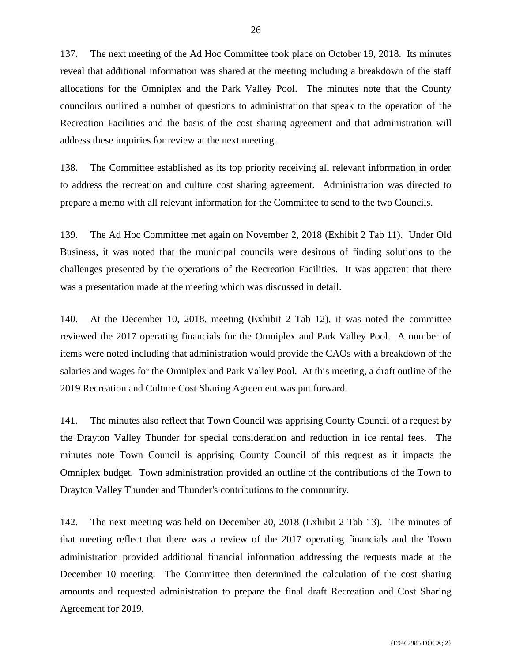137. The next meeting of the Ad Hoc Committee took place on October 19, 2018. Its minutes reveal that additional information was shared at the meeting including a breakdown of the staff allocations for the Omniplex and the Park Valley Pool. The minutes note that the County councilors outlined a number of questions to administration that speak to the operation of the Recreation Facilities and the basis of the cost sharing agreement and that administration will address these inquiries for review at the next meeting.

138. The Committee established as its top priority receiving all relevant information in order to address the recreation and culture cost sharing agreement. Administration was directed to prepare a memo with all relevant information for the Committee to send to the two Councils.

139. The Ad Hoc Committee met again on November 2, 2018 (Exhibit 2 Tab 11). Under Old Business, it was noted that the municipal councils were desirous of finding solutions to the challenges presented by the operations of the Recreation Facilities. It was apparent that there was a presentation made at the meeting which was discussed in detail.

140. At the December 10, 2018, meeting (Exhibit 2 Tab 12), it was noted the committee reviewed the 2017 operating financials for the Omniplex and Park Valley Pool. A number of items were noted including that administration would provide the CAOs with a breakdown of the salaries and wages for the Omniplex and Park Valley Pool. At this meeting, a draft outline of the 2019 Recreation and Culture Cost Sharing Agreement was put forward.

141. The minutes also reflect that Town Council was apprising County Council of a request by the Drayton Valley Thunder for special consideration and reduction in ice rental fees. The minutes note Town Council is apprising County Council of this request as it impacts the Omniplex budget. Town administration provided an outline of the contributions of the Town to Drayton Valley Thunder and Thunder's contributions to the community.

142. The next meeting was held on December 20, 2018 (Exhibit 2 Tab 13). The minutes of that meeting reflect that there was a review of the 2017 operating financials and the Town administration provided additional financial information addressing the requests made at the December 10 meeting. The Committee then determined the calculation of the cost sharing amounts and requested administration to prepare the final draft Recreation and Cost Sharing Agreement for 2019.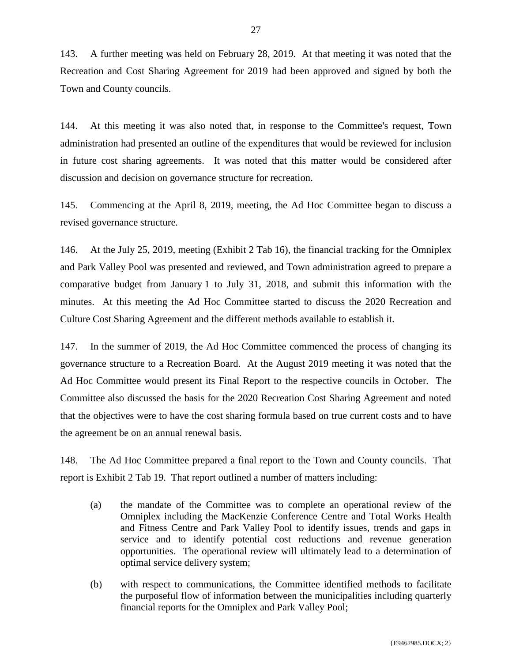143. A further meeting was held on February 28, 2019. At that meeting it was noted that the Recreation and Cost Sharing Agreement for 2019 had been approved and signed by both the Town and County councils.

144. At this meeting it was also noted that, in response to the Committee's request, Town administration had presented an outline of the expenditures that would be reviewed for inclusion in future cost sharing agreements. It was noted that this matter would be considered after discussion and decision on governance structure for recreation.

145. Commencing at the April 8, 2019, meeting, the Ad Hoc Committee began to discuss a revised governance structure.

146. At the July 25, 2019, meeting (Exhibit 2 Tab 16), the financial tracking for the Omniplex and Park Valley Pool was presented and reviewed, and Town administration agreed to prepare a comparative budget from January 1 to July 31, 2018, and submit this information with the minutes. At this meeting the Ad Hoc Committee started to discuss the 2020 Recreation and Culture Cost Sharing Agreement and the different methods available to establish it.

147. In the summer of 2019, the Ad Hoc Committee commenced the process of changing its governance structure to a Recreation Board. At the August 2019 meeting it was noted that the Ad Hoc Committee would present its Final Report to the respective councils in October. The Committee also discussed the basis for the 2020 Recreation Cost Sharing Agreement and noted that the objectives were to have the cost sharing formula based on true current costs and to have the agreement be on an annual renewal basis.

148. The Ad Hoc Committee prepared a final report to the Town and County councils. That report is Exhibit 2 Tab 19. That report outlined a number of matters including:

- (a) the mandate of the Committee was to complete an operational review of the Omniplex including the MacKenzie Conference Centre and Total Works Health and Fitness Centre and Park Valley Pool to identify issues, trends and gaps in service and to identify potential cost reductions and revenue generation opportunities. The operational review will ultimately lead to a determination of optimal service delivery system;
- (b) with respect to communications, the Committee identified methods to facilitate the purposeful flow of information between the municipalities including quarterly financial reports for the Omniplex and Park Valley Pool;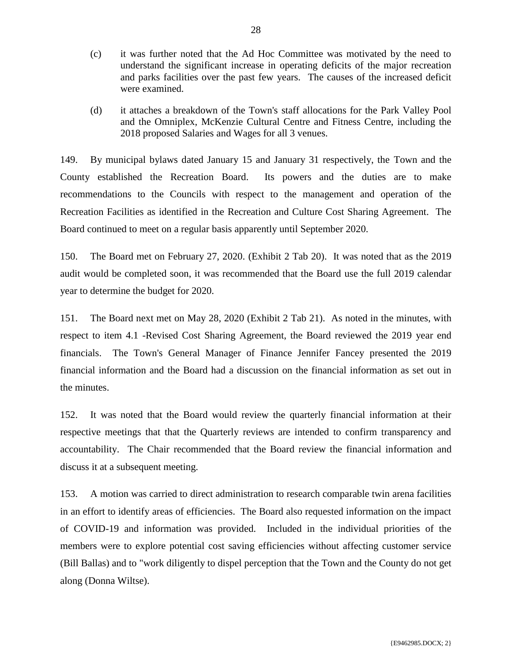- (c) it was further noted that the Ad Hoc Committee was motivated by the need to understand the significant increase in operating deficits of the major recreation and parks facilities over the past few years. The causes of the increased deficit were examined.
- (d) it attaches a breakdown of the Town's staff allocations for the Park Valley Pool and the Omniplex, McKenzie Cultural Centre and Fitness Centre, including the 2018 proposed Salaries and Wages for all 3 venues.

149. By municipal bylaws dated January 15 and January 31 respectively, the Town and the County established the Recreation Board. Its powers and the duties are to make recommendations to the Councils with respect to the management and operation of the Recreation Facilities as identified in the Recreation and Culture Cost Sharing Agreement. The Board continued to meet on a regular basis apparently until September 2020.

150. The Board met on February 27, 2020. (Exhibit 2 Tab 20). It was noted that as the 2019 audit would be completed soon, it was recommended that the Board use the full 2019 calendar year to determine the budget for 2020.

151. The Board next met on May 28, 2020 (Exhibit 2 Tab 21). As noted in the minutes, with respect to item 4.1 -Revised Cost Sharing Agreement, the Board reviewed the 2019 year end financials. The Town's General Manager of Finance Jennifer Fancey presented the 2019 financial information and the Board had a discussion on the financial information as set out in the minutes.

152. It was noted that the Board would review the quarterly financial information at their respective meetings that that the Quarterly reviews are intended to confirm transparency and accountability. The Chair recommended that the Board review the financial information and discuss it at a subsequent meeting.

153. A motion was carried to direct administration to research comparable twin arena facilities in an effort to identify areas of efficiencies. The Board also requested information on the impact of COVID-19 and information was provided. Included in the individual priorities of the members were to explore potential cost saving efficiencies without affecting customer service (Bill Ballas) and to "work diligently to dispel perception that the Town and the County do not get along (Donna Wiltse).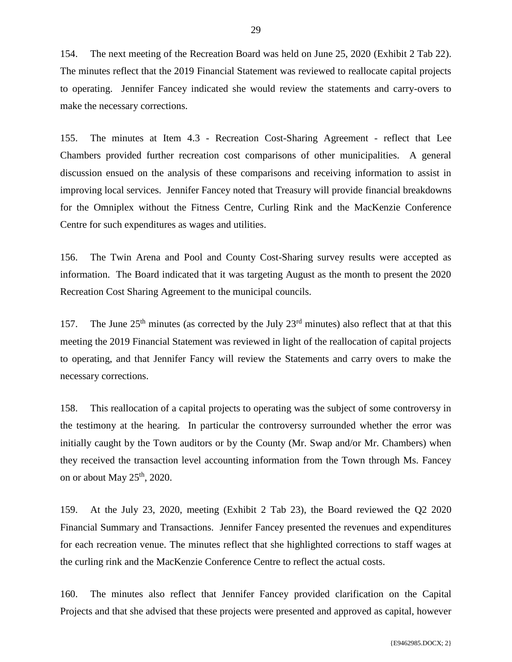154. The next meeting of the Recreation Board was held on June 25, 2020 (Exhibit 2 Tab 22). The minutes reflect that the 2019 Financial Statement was reviewed to reallocate capital projects to operating. Jennifer Fancey indicated she would review the statements and carry-overs to make the necessary corrections.

155. The minutes at Item 4.3 - Recreation Cost-Sharing Agreement - reflect that Lee Chambers provided further recreation cost comparisons of other municipalities. A general discussion ensued on the analysis of these comparisons and receiving information to assist in improving local services. Jennifer Fancey noted that Treasury will provide financial breakdowns for the Omniplex without the Fitness Centre, Curling Rink and the MacKenzie Conference Centre for such expenditures as wages and utilities.

156. The Twin Arena and Pool and County Cost-Sharing survey results were accepted as information. The Board indicated that it was targeting August as the month to present the 2020 Recreation Cost Sharing Agreement to the municipal councils.

157. The June  $25<sup>th</sup>$  minutes (as corrected by the July  $23<sup>rd</sup>$  minutes) also reflect that at that this meeting the 2019 Financial Statement was reviewed in light of the reallocation of capital projects to operating, and that Jennifer Fancy will review the Statements and carry overs to make the necessary corrections.

158. This reallocation of a capital projects to operating was the subject of some controversy in the testimony at the hearing. In particular the controversy surrounded whether the error was initially caught by the Town auditors or by the County (Mr. Swap and/or Mr. Chambers) when they received the transaction level accounting information from the Town through Ms. Fancey on or about May  $25<sup>th</sup>$ , 2020.

159. At the July 23, 2020, meeting (Exhibit 2 Tab 23), the Board reviewed the Q2 2020 Financial Summary and Transactions. Jennifer Fancey presented the revenues and expenditures for each recreation venue. The minutes reflect that she highlighted corrections to staff wages at the curling rink and the MacKenzie Conference Centre to reflect the actual costs.

160. The minutes also reflect that Jennifer Fancey provided clarification on the Capital Projects and that she advised that these projects were presented and approved as capital, however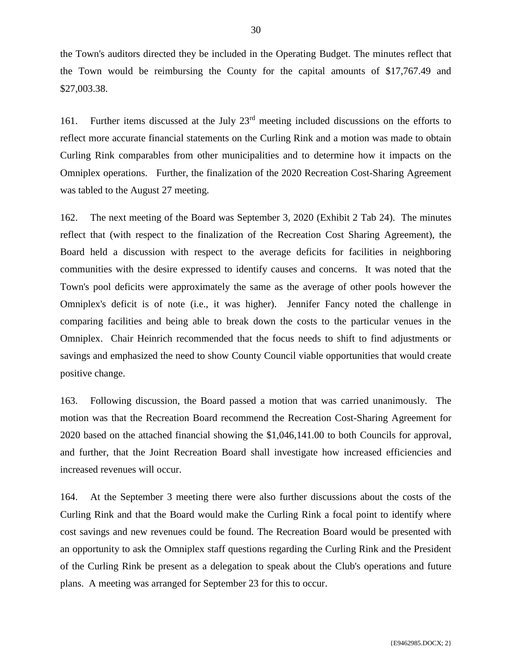the Town's auditors directed they be included in the Operating Budget. The minutes reflect that the Town would be reimbursing the County for the capital amounts of \$17,767.49 and \$27,003.38.

161. Further items discussed at the July  $23<sup>rd</sup>$  meeting included discussions on the efforts to reflect more accurate financial statements on the Curling Rink and a motion was made to obtain Curling Rink comparables from other municipalities and to determine how it impacts on the Omniplex operations. Further, the finalization of the 2020 Recreation Cost-Sharing Agreement was tabled to the August 27 meeting.

162. The next meeting of the Board was September 3, 2020 (Exhibit 2 Tab 24). The minutes reflect that (with respect to the finalization of the Recreation Cost Sharing Agreement), the Board held a discussion with respect to the average deficits for facilities in neighboring communities with the desire expressed to identify causes and concerns. It was noted that the Town's pool deficits were approximately the same as the average of other pools however the Omniplex's deficit is of note (i.e., it was higher). Jennifer Fancy noted the challenge in comparing facilities and being able to break down the costs to the particular venues in the Omniplex. Chair Heinrich recommended that the focus needs to shift to find adjustments or savings and emphasized the need to show County Council viable opportunities that would create positive change.

163. Following discussion, the Board passed a motion that was carried unanimously. The motion was that the Recreation Board recommend the Recreation Cost-Sharing Agreement for 2020 based on the attached financial showing the \$1,046,141.00 to both Councils for approval, and further, that the Joint Recreation Board shall investigate how increased efficiencies and increased revenues will occur.

164. At the September 3 meeting there were also further discussions about the costs of the Curling Rink and that the Board would make the Curling Rink a focal point to identify where cost savings and new revenues could be found. The Recreation Board would be presented with an opportunity to ask the Omniplex staff questions regarding the Curling Rink and the President of the Curling Rink be present as a delegation to speak about the Club's operations and future plans. A meeting was arranged for September 23 for this to occur.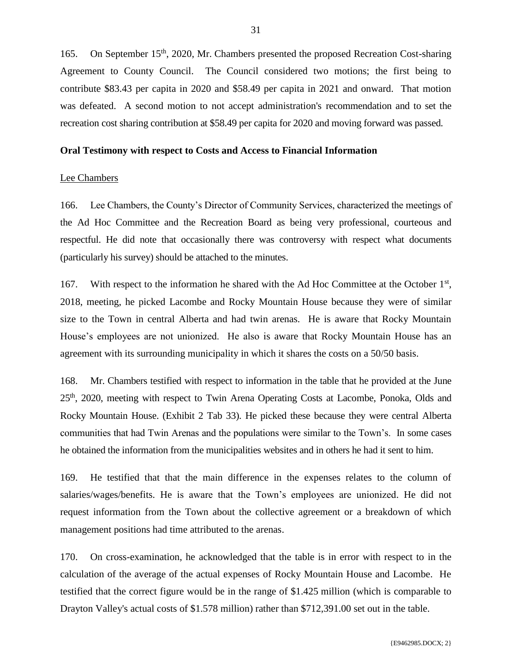165. On September 15<sup>th</sup>, 2020, Mr. Chambers presented the proposed Recreation Cost-sharing Agreement to County Council. The Council considered two motions; the first being to contribute \$83.43 per capita in 2020 and \$58.49 per capita in 2021 and onward. That motion was defeated. A second motion to not accept administration's recommendation and to set the recreation cost sharing contribution at \$58.49 per capita for 2020 and moving forward was passed.

#### **Oral Testimony with respect to Costs and Access to Financial Information**

#### Lee Chambers

166. Lee Chambers, the County's Director of Community Services, characterized the meetings of the Ad Hoc Committee and the Recreation Board as being very professional, courteous and respectful. He did note that occasionally there was controversy with respect what documents (particularly his survey) should be attached to the minutes.

167. With respect to the information he shared with the Ad Hoc Committee at the October 1<sup>st</sup>, 2018, meeting, he picked Lacombe and Rocky Mountain House because they were of similar size to the Town in central Alberta and had twin arenas. He is aware that Rocky Mountain House's employees are not unionized. He also is aware that Rocky Mountain House has an agreement with its surrounding municipality in which it shares the costs on a 50/50 basis.

168. Mr. Chambers testified with respect to information in the table that he provided at the June 25<sup>th</sup>, 2020, meeting with respect to Twin Arena Operating Costs at Lacombe, Ponoka, Olds and Rocky Mountain House. (Exhibit 2 Tab 33). He picked these because they were central Alberta communities that had Twin Arenas and the populations were similar to the Town's. In some cases he obtained the information from the municipalities websites and in others he had it sent to him.

169. He testified that that the main difference in the expenses relates to the column of salaries/wages/benefits. He is aware that the Town's employees are unionized. He did not request information from the Town about the collective agreement or a breakdown of which management positions had time attributed to the arenas.

170. On cross-examination, he acknowledged that the table is in error with respect to in the calculation of the average of the actual expenses of Rocky Mountain House and Lacombe. He testified that the correct figure would be in the range of \$1.425 million (which is comparable to Drayton Valley's actual costs of \$1.578 million) rather than \$712,391.00 set out in the table.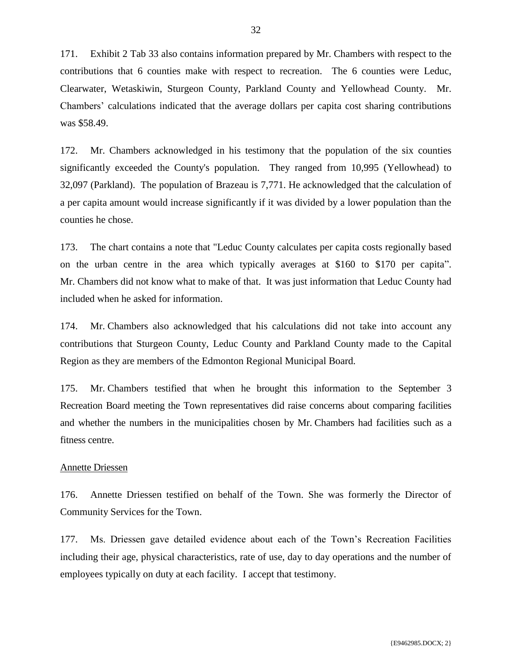171. Exhibit 2 Tab 33 also contains information prepared by Mr. Chambers with respect to the contributions that 6 counties make with respect to recreation. The 6 counties were Leduc, Clearwater, Wetaskiwin, Sturgeon County, Parkland County and Yellowhead County. Mr. Chambers' calculations indicated that the average dollars per capita cost sharing contributions was \$58.49.

172. Mr. Chambers acknowledged in his testimony that the population of the six counties significantly exceeded the County's population. They ranged from 10,995 (Yellowhead) to 32,097 (Parkland). The population of Brazeau is 7,771. He acknowledged that the calculation of a per capita amount would increase significantly if it was divided by a lower population than the counties he chose.

173. The chart contains a note that "Leduc County calculates per capita costs regionally based on the urban centre in the area which typically averages at \$160 to \$170 per capita". Mr. Chambers did not know what to make of that. It was just information that Leduc County had included when he asked for information.

174. Mr. Chambers also acknowledged that his calculations did not take into account any contributions that Sturgeon County, Leduc County and Parkland County made to the Capital Region as they are members of the Edmonton Regional Municipal Board.

175. Mr. Chambers testified that when he brought this information to the September 3 Recreation Board meeting the Town representatives did raise concerns about comparing facilities and whether the numbers in the municipalities chosen by Mr. Chambers had facilities such as a fitness centre.

## Annette Driessen

176. Annette Driessen testified on behalf of the Town. She was formerly the Director of Community Services for the Town.

177. Ms. Driessen gave detailed evidence about each of the Town's Recreation Facilities including their age, physical characteristics, rate of use, day to day operations and the number of employees typically on duty at each facility. I accept that testimony.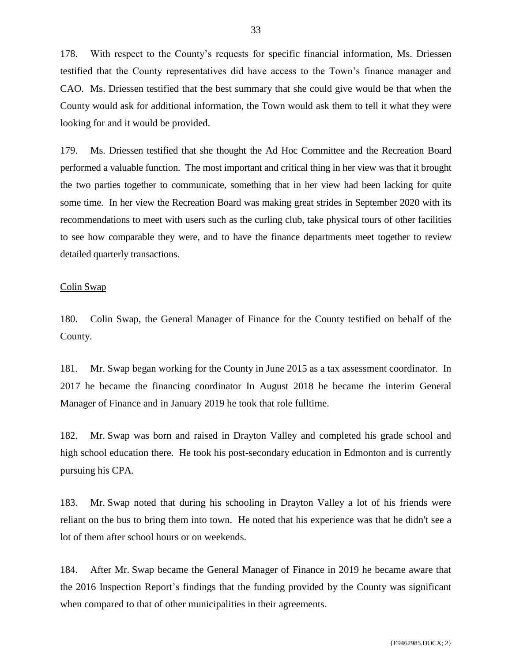178. With respect to the County's requests for specific financial information, Ms. Driessen testified that the County representatives did have access to the Town's finance manager and CAO. Ms. Driessen testified that the best summary that she could give would be that when the County would ask for additional information, the Town would ask them to tell it what they were looking for and it would be provided.

179. Ms. Driessen testified that she thought the Ad Hoc Committee and the Recreation Board performed a valuable function. The most important and critical thing in her view was that it brought the two parties together to communicate, something that in her view had been lacking for quite some time. In her view the Recreation Board was making great strides in September 2020 with its recommendations to meet with users such as the curling club, take physical tours of other facilities to see how comparable they were, and to have the finance departments meet together to review detailed quarterly transactions.

#### Colin Swap

180. Colin Swap, the General Manager of Finance for the County testified on behalf of the County.

181. Mr. Swap began working for the County in June 2015 as a tax assessment coordinator. In 2017 he became the financing coordinator In August 2018 he became the interim General Manager of Finance and in January 2019 he took that role fulltime.

182. Mr. Swap was born and raised in Drayton Valley and completed his grade school and high school education there. He took his post-secondary education in Edmonton and is currently pursuing his CPA.

183. Mr. Swap noted that during his schooling in Drayton Valley a lot of his friends were reliant on the bus to bring them into town. He noted that his experience was that he didn't see a lot of them after school hours or on weekends.

184. After Mr. Swap became the General Manager of Finance in 2019 he became aware that the 2016 Inspection Report's findings that the funding provided by the County was significant when compared to that of other municipalities in their agreements.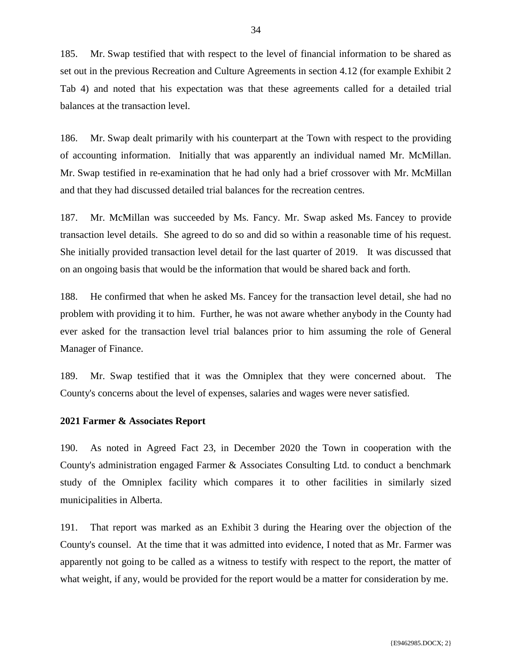185. Mr. Swap testified that with respect to the level of financial information to be shared as set out in the previous Recreation and Culture Agreements in section 4.12 (for example Exhibit 2 Tab 4) and noted that his expectation was that these agreements called for a detailed trial balances at the transaction level.

186. Mr. Swap dealt primarily with his counterpart at the Town with respect to the providing of accounting information. Initially that was apparently an individual named Mr. McMillan. Mr. Swap testified in re-examination that he had only had a brief crossover with Mr. McMillan and that they had discussed detailed trial balances for the recreation centres.

187. Mr. McMillan was succeeded by Ms. Fancy. Mr. Swap asked Ms. Fancey to provide transaction level details. She agreed to do so and did so within a reasonable time of his request. She initially provided transaction level detail for the last quarter of 2019. It was discussed that on an ongoing basis that would be the information that would be shared back and forth.

188. He confirmed that when he asked Ms. Fancey for the transaction level detail, she had no problem with providing it to him. Further, he was not aware whether anybody in the County had ever asked for the transaction level trial balances prior to him assuming the role of General Manager of Finance.

189. Mr. Swap testified that it was the Omniplex that they were concerned about. The County's concerns about the level of expenses, salaries and wages were never satisfied.

## **2021 Farmer & Associates Report**

190. As noted in Agreed Fact 23, in December 2020 the Town in cooperation with the County's administration engaged Farmer & Associates Consulting Ltd. to conduct a benchmark study of the Omniplex facility which compares it to other facilities in similarly sized municipalities in Alberta.

191. That report was marked as an Exhibit 3 during the Hearing over the objection of the County's counsel. At the time that it was admitted into evidence, I noted that as Mr. Farmer was apparently not going to be called as a witness to testify with respect to the report, the matter of what weight, if any, would be provided for the report would be a matter for consideration by me.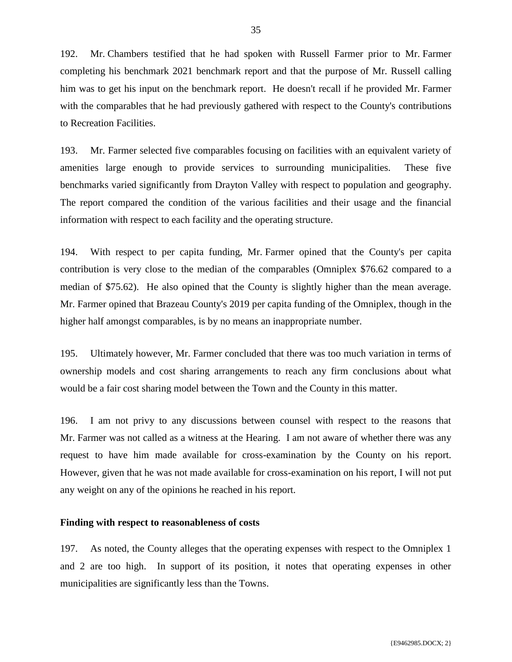192. Mr. Chambers testified that he had spoken with Russell Farmer prior to Mr. Farmer completing his benchmark 2021 benchmark report and that the purpose of Mr. Russell calling him was to get his input on the benchmark report. He doesn't recall if he provided Mr. Farmer with the comparables that he had previously gathered with respect to the County's contributions to Recreation Facilities.

193. Mr. Farmer selected five comparables focusing on facilities with an equivalent variety of amenities large enough to provide services to surrounding municipalities. These five benchmarks varied significantly from Drayton Valley with respect to population and geography. The report compared the condition of the various facilities and their usage and the financial information with respect to each facility and the operating structure.

194. With respect to per capita funding, Mr. Farmer opined that the County's per capita contribution is very close to the median of the comparables (Omniplex \$76.62 compared to a median of \$75.62). He also opined that the County is slightly higher than the mean average. Mr. Farmer opined that Brazeau County's 2019 per capita funding of the Omniplex, though in the higher half amongst comparables, is by no means an inappropriate number.

195. Ultimately however, Mr. Farmer concluded that there was too much variation in terms of ownership models and cost sharing arrangements to reach any firm conclusions about what would be a fair cost sharing model between the Town and the County in this matter.

196. I am not privy to any discussions between counsel with respect to the reasons that Mr. Farmer was not called as a witness at the Hearing. I am not aware of whether there was any request to have him made available for cross-examination by the County on his report. However, given that he was not made available for cross-examination on his report, I will not put any weight on any of the opinions he reached in his report.

### **Finding with respect to reasonableness of costs**

197. As noted, the County alleges that the operating expenses with respect to the Omniplex 1 and 2 are too high. In support of its position, it notes that operating expenses in other municipalities are significantly less than the Towns.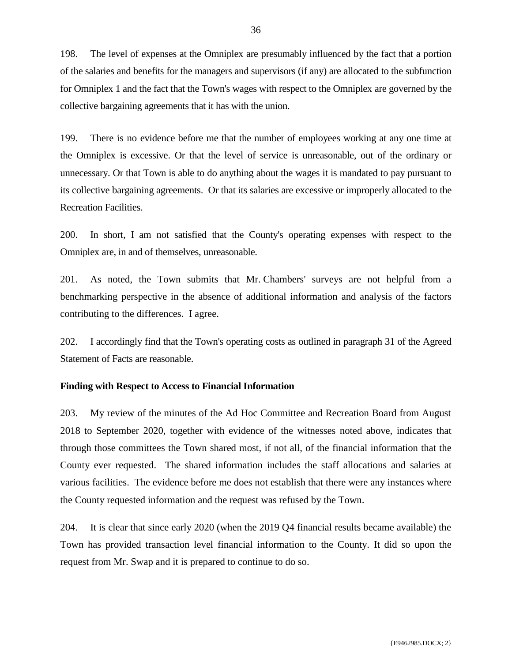198. The level of expenses at the Omniplex are presumably influenced by the fact that a portion of the salaries and benefits for the managers and supervisors (if any) are allocated to the subfunction for Omniplex 1 and the fact that the Town's wages with respect to the Omniplex are governed by the collective bargaining agreements that it has with the union.

199. There is no evidence before me that the number of employees working at any one time at the Omniplex is excessive. Or that the level of service is unreasonable, out of the ordinary or unnecessary. Or that Town is able to do anything about the wages it is mandated to pay pursuant to its collective bargaining agreements. Or that its salaries are excessive or improperly allocated to the Recreation Facilities.

200. In short, I am not satisfied that the County's operating expenses with respect to the Omniplex are, in and of themselves, unreasonable.

201. As noted, the Town submits that Mr. Chambers' surveys are not helpful from a benchmarking perspective in the absence of additional information and analysis of the factors contributing to the differences. I agree.

202. I accordingly find that the Town's operating costs as outlined in paragraph 31 of the Agreed Statement of Facts are reasonable.

## **Finding with Respect to Access to Financial Information**

203. My review of the minutes of the Ad Hoc Committee and Recreation Board from August 2018 to September 2020, together with evidence of the witnesses noted above, indicates that through those committees the Town shared most, if not all, of the financial information that the County ever requested. The shared information includes the staff allocations and salaries at various facilities. The evidence before me does not establish that there were any instances where the County requested information and the request was refused by the Town.

204. It is clear that since early 2020 (when the 2019 Q4 financial results became available) the Town has provided transaction level financial information to the County. It did so upon the request from Mr. Swap and it is prepared to continue to do so.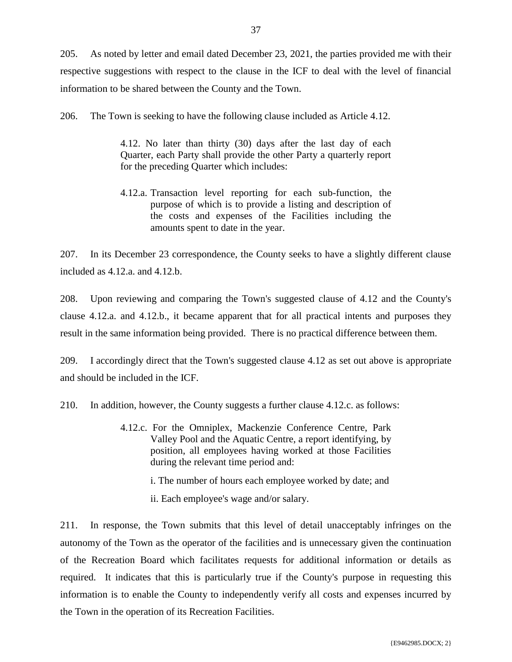205. As noted by letter and email dated December 23, 2021, the parties provided me with their respective suggestions with respect to the clause in the ICF to deal with the level of financial information to be shared between the County and the Town.

206. The Town is seeking to have the following clause included as Article 4.12.

4.12. No later than thirty (30) days after the last day of each Quarter, each Party shall provide the other Party a quarterly report for the preceding Quarter which includes:

4.12.a. Transaction level reporting for each sub-function, the purpose of which is to provide a listing and description of the costs and expenses of the Facilities including the amounts spent to date in the year.

207. In its December 23 correspondence, the County seeks to have a slightly different clause included as 4.12.a. and 4.12.b.

208. Upon reviewing and comparing the Town's suggested clause of 4.12 and the County's clause 4.12.a. and 4.12.b., it became apparent that for all practical intents and purposes they result in the same information being provided. There is no practical difference between them.

209. I accordingly direct that the Town's suggested clause 4.12 as set out above is appropriate and should be included in the ICF.

210. In addition, however, the County suggests a further clause 4.12.c. as follows:

- 4.12.c. For the Omniplex, Mackenzie Conference Centre, Park Valley Pool and the Aquatic Centre, a report identifying, by position, all employees having worked at those Facilities during the relevant time period and:
	- i. The number of hours each employee worked by date; and
	- ii. Each employee's wage and/or salary.

211. In response, the Town submits that this level of detail unacceptably infringes on the autonomy of the Town as the operator of the facilities and is unnecessary given the continuation of the Recreation Board which facilitates requests for additional information or details as required. It indicates that this is particularly true if the County's purpose in requesting this information is to enable the County to independently verify all costs and expenses incurred by the Town in the operation of its Recreation Facilities.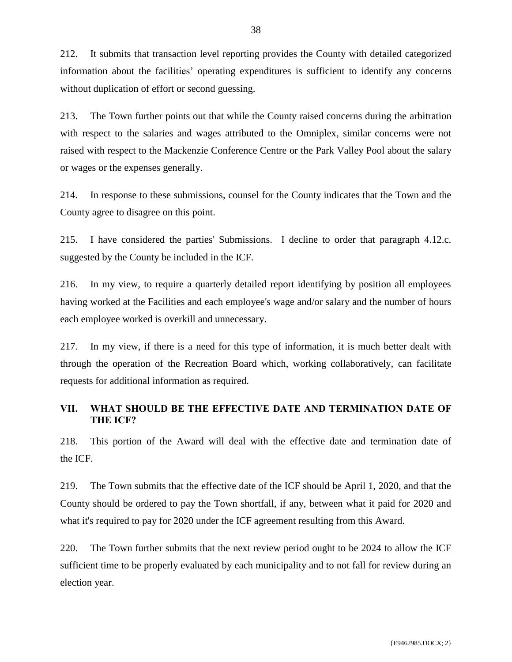212. It submits that transaction level reporting provides the County with detailed categorized information about the facilities' operating expenditures is sufficient to identify any concerns without duplication of effort or second guessing.

213. The Town further points out that while the County raised concerns during the arbitration with respect to the salaries and wages attributed to the Omniplex, similar concerns were not raised with respect to the Mackenzie Conference Centre or the Park Valley Pool about the salary or wages or the expenses generally.

214. In response to these submissions, counsel for the County indicates that the Town and the County agree to disagree on this point.

215. I have considered the parties' Submissions. I decline to order that paragraph 4.12.c. suggested by the County be included in the ICF.

216. In my view, to require a quarterly detailed report identifying by position all employees having worked at the Facilities and each employee's wage and/or salary and the number of hours each employee worked is overkill and unnecessary.

217. In my view, if there is a need for this type of information, it is much better dealt with through the operation of the Recreation Board which, working collaboratively, can facilitate requests for additional information as required.

## <span id="page-39-0"></span>**VII. WHAT SHOULD BE THE EFFECTIVE DATE AND TERMINATION DATE OF THE ICF?**

218. This portion of the Award will deal with the effective date and termination date of the ICF.

219. The Town submits that the effective date of the ICF should be April 1, 2020, and that the County should be ordered to pay the Town shortfall, if any, between what it paid for 2020 and what it's required to pay for 2020 under the ICF agreement resulting from this Award.

220. The Town further submits that the next review period ought to be 2024 to allow the ICF sufficient time to be properly evaluated by each municipality and to not fall for review during an election year.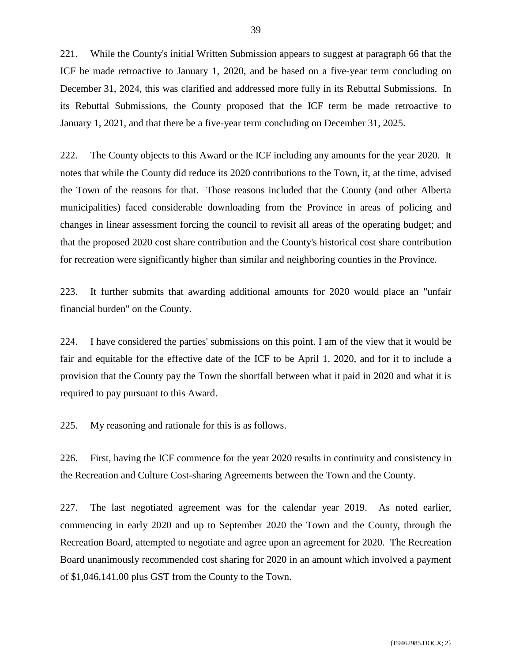221. While the County's initial Written Submission appears to suggest at paragraph 66 that the ICF be made retroactive to January 1, 2020, and be based on a five-year term concluding on December 31, 2024, this was clarified and addressed more fully in its Rebuttal Submissions. In its Rebuttal Submissions, the County proposed that the ICF term be made retroactive to January 1, 2021, and that there be a five-year term concluding on December 31, 2025.

222. The County objects to this Award or the ICF including any amounts for the year 2020. It notes that while the County did reduce its 2020 contributions to the Town, it, at the time, advised the Town of the reasons for that. Those reasons included that the County (and other Alberta municipalities) faced considerable downloading from the Province in areas of policing and changes in linear assessment forcing the council to revisit all areas of the operating budget; and that the proposed 2020 cost share contribution and the County's historical cost share contribution for recreation were significantly higher than similar and neighboring counties in the Province.

223. It further submits that awarding additional amounts for 2020 would place an "unfair financial burden" on the County.

224. I have considered the parties' submissions on this point. I am of the view that it would be fair and equitable for the effective date of the ICF to be April 1, 2020, and for it to include a provision that the County pay the Town the shortfall between what it paid in 2020 and what it is required to pay pursuant to this Award.

225. My reasoning and rationale for this is as follows.

226. First, having the ICF commence for the year 2020 results in continuity and consistency in the Recreation and Culture Cost-sharing Agreements between the Town and the County.

227. The last negotiated agreement was for the calendar year 2019. As noted earlier, commencing in early 2020 and up to September 2020 the Town and the County, through the Recreation Board, attempted to negotiate and agree upon an agreement for 2020. The Recreation Board unanimously recommended cost sharing for 2020 in an amount which involved a payment of \$1,046,141.00 plus GST from the County to the Town.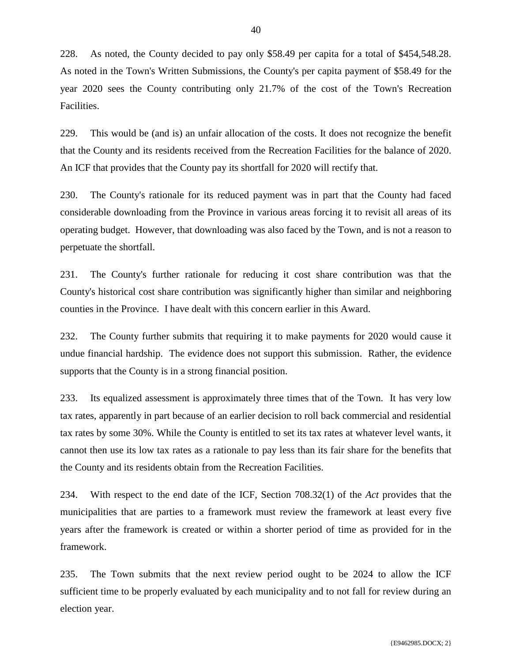228. As noted, the County decided to pay only \$58.49 per capita for a total of \$454,548.28. As noted in the Town's Written Submissions, the County's per capita payment of \$58.49 for the year 2020 sees the County contributing only 21.7% of the cost of the Town's Recreation Facilities.

229. This would be (and is) an unfair allocation of the costs. It does not recognize the benefit that the County and its residents received from the Recreation Facilities for the balance of 2020. An ICF that provides that the County pay its shortfall for 2020 will rectify that.

230. The County's rationale for its reduced payment was in part that the County had faced considerable downloading from the Province in various areas forcing it to revisit all areas of its operating budget. However, that downloading was also faced by the Town, and is not a reason to perpetuate the shortfall.

231. The County's further rationale for reducing it cost share contribution was that the County's historical cost share contribution was significantly higher than similar and neighboring counties in the Province. I have dealt with this concern earlier in this Award.

232. The County further submits that requiring it to make payments for 2020 would cause it undue financial hardship. The evidence does not support this submission. Rather, the evidence supports that the County is in a strong financial position.

233. Its equalized assessment is approximately three times that of the Town. It has very low tax rates, apparently in part because of an earlier decision to roll back commercial and residential tax rates by some 30%. While the County is entitled to set its tax rates at whatever level wants, it cannot then use its low tax rates as a rationale to pay less than its fair share for the benefits that the County and its residents obtain from the Recreation Facilities.

234. With respect to the end date of the ICF, Section 708.32(1) of the *Act* provides that the municipalities that are parties to a framework must review the framework at least every five years after the framework is created or within a shorter period of time as provided for in the framework.

235. The Town submits that the next review period ought to be 2024 to allow the ICF sufficient time to be properly evaluated by each municipality and to not fall for review during an election year.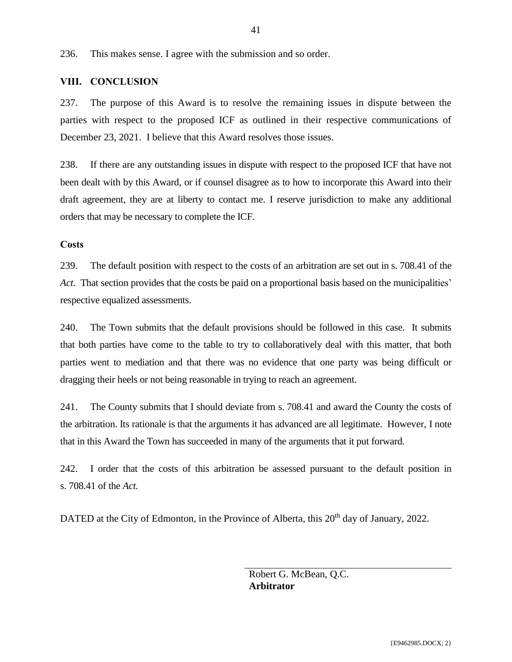236. This makes sense. I agree with the submission and so order.

### <span id="page-42-0"></span>**VIII. CONCLUSION**

237. The purpose of this Award is to resolve the remaining issues in dispute between the parties with respect to the proposed ICF as outlined in their respective communications of December 23, 2021. I believe that this Award resolves those issues.

238. If there are any outstanding issues in dispute with respect to the proposed ICF that have not been dealt with by this Award, or if counsel disagree as to how to incorporate this Award into their draft agreement, they are at liberty to contact me. I reserve jurisdiction to make any additional orders that may be necessary to complete the ICF.

#### **Costs**

239. The default position with respect to the costs of an arbitration are set out in s. 708.41 of the *Act*. That section provides that the costs be paid on a proportional basis based on the municipalities' respective equalized assessments.

240. The Town submits that the default provisions should be followed in this case. It submits that both parties have come to the table to try to collaboratively deal with this matter, that both parties went to mediation and that there was no evidence that one party was being difficult or dragging their heels or not being reasonable in trying to reach an agreement.

241. The County submits that I should deviate from s. 708.41 and award the County the costs of the arbitration. Its rationale is that the arguments it has advanced are all legitimate. However, I note that in this Award the Town has succeeded in many of the arguments that it put forward.

242. I order that the costs of this arbitration be assessed pursuant to the default position in s. 708.41 of the *Act.*

DATED at the City of Edmonton, in the Province of Alberta, this 20<sup>th</sup> day of January, 2022.

Robert G. McBean, Q.C. **Arbitrator**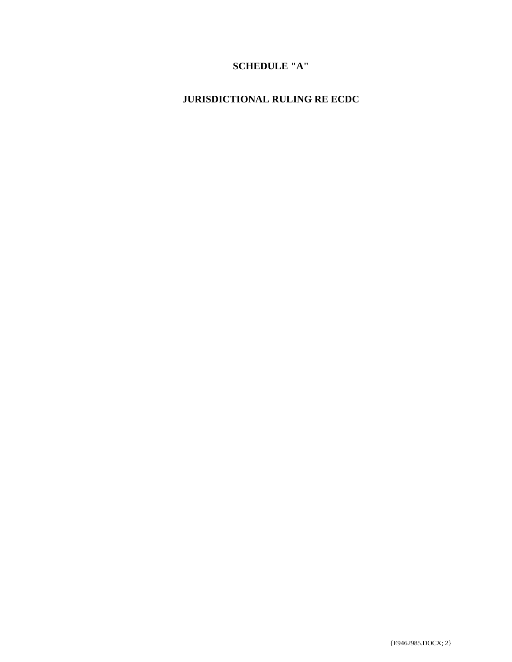# **SCHEDULE "A"**

# <span id="page-43-0"></span>**JURISDICTIONAL RULING RE ECDC**